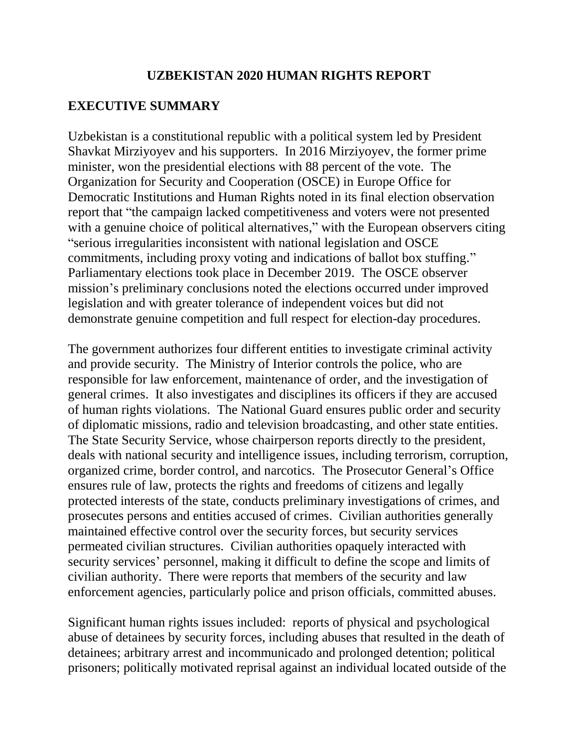#### **UZBEKISTAN 2020 HUMAN RIGHTS REPORT**

#### **EXECUTIVE SUMMARY**

Uzbekistan is a constitutional republic with a political system led by President Shavkat Mirziyoyev and his supporters. In 2016 Mirziyoyev, the former prime minister, won the presidential elections with 88 percent of the vote. The Organization for Security and Cooperation (OSCE) in Europe Office for Democratic Institutions and Human Rights noted in its final election observation report that "the campaign lacked competitiveness and voters were not presented with a genuine choice of political alternatives," with the European observers citing "serious irregularities inconsistent with national legislation and OSCE commitments, including proxy voting and indications of ballot box stuffing." Parliamentary elections took place in December 2019. The OSCE observer mission's preliminary conclusions noted the elections occurred under improved legislation and with greater tolerance of independent voices but did not demonstrate genuine competition and full respect for election-day procedures.

The government authorizes four different entities to investigate criminal activity and provide security. The Ministry of Interior controls the police, who are responsible for law enforcement, maintenance of order, and the investigation of general crimes. It also investigates and disciplines its officers if they are accused of human rights violations. The National Guard ensures public order and security of diplomatic missions, radio and television broadcasting, and other state entities. The State Security Service, whose chairperson reports directly to the president, deals with national security and intelligence issues, including terrorism, corruption, organized crime, border control, and narcotics. The Prosecutor General's Office ensures rule of law, protects the rights and freedoms of citizens and legally protected interests of the state, conducts preliminary investigations of crimes, and prosecutes persons and entities accused of crimes. Civilian authorities generally maintained effective control over the security forces, but security services permeated civilian structures. Civilian authorities opaquely interacted with security services' personnel, making it difficult to define the scope and limits of civilian authority. There were reports that members of the security and law enforcement agencies, particularly police and prison officials, committed abuses.

Significant human rights issues included: reports of physical and psychological abuse of detainees by security forces, including abuses that resulted in the death of detainees; arbitrary arrest and incommunicado and prolonged detention; political prisoners; politically motivated reprisal against an individual located outside of the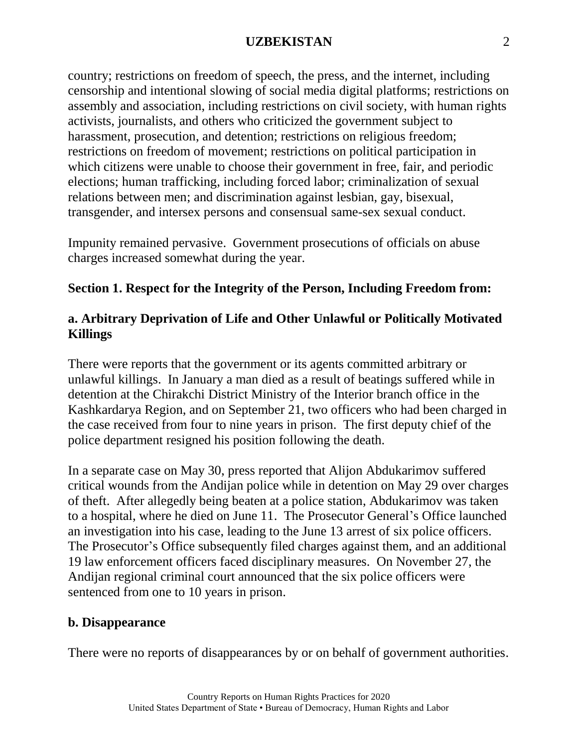country; restrictions on freedom of speech, the press, and the internet, including censorship and intentional slowing of social media digital platforms; restrictions on assembly and association, including restrictions on civil society, with human rights activists, journalists, and others who criticized the government subject to harassment, prosecution, and detention; restrictions on religious freedom; restrictions on freedom of movement; restrictions on political participation in which citizens were unable to choose their government in free, fair, and periodic elections; human trafficking, including forced labor; criminalization of sexual relations between men; and discrimination against lesbian, gay, bisexual, transgender, and intersex persons and consensual same-sex sexual conduct.

Impunity remained pervasive. Government prosecutions of officials on abuse charges increased somewhat during the year.

# **Section 1. Respect for the Integrity of the Person, Including Freedom from:**

# **a. Arbitrary Deprivation of Life and Other Unlawful or Politically Motivated Killings**

There were reports that the government or its agents committed arbitrary or unlawful killings. In January a man died as a result of beatings suffered while in detention at the Chirakchi District Ministry of the Interior branch office in the Kashkardarya Region, and on September 21, two officers who had been charged in the case received from four to nine years in prison. The first deputy chief of the police department resigned his position following the death.

In a separate case on May 30, press reported that Alijon Abdukarimov suffered critical wounds from the Andijan police while in detention on May 29 over charges of theft. After allegedly being beaten at a police station, Abdukarimov was taken to a hospital, where he died on June 11. The Prosecutor General's Office launched an investigation into his case, leading to the June 13 arrest of six police officers. The Prosecutor's Office subsequently filed charges against them, and an additional 19 law enforcement officers faced disciplinary measures. On November 27, the Andijan regional criminal court announced that the six police officers were sentenced from one to 10 years in prison.

#### **b. Disappearance**

There were no reports of disappearances by or on behalf of government authorities.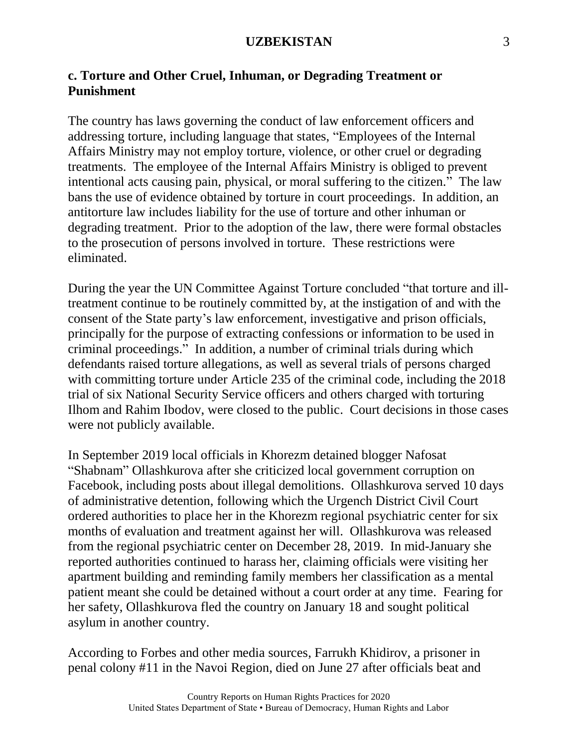# **c. Torture and Other Cruel, Inhuman, or Degrading Treatment or Punishment**

The country has laws governing the conduct of law enforcement officers and addressing torture, including language that states, "Employees of the Internal Affairs Ministry may not employ torture, violence, or other cruel or degrading treatments. The employee of the Internal Affairs Ministry is obliged to prevent intentional acts causing pain, physical, or moral suffering to the citizen." The law bans the use of evidence obtained by torture in court proceedings. In addition, an antitorture law includes liability for the use of torture and other inhuman or degrading treatment. Prior to the adoption of the law, there were formal obstacles to the prosecution of persons involved in torture. These restrictions were eliminated.

During the year the UN Committee Against Torture concluded "that torture and illtreatment continue to be routinely committed by, at the instigation of and with the consent of the State party's law enforcement, investigative and prison officials, principally for the purpose of extracting confessions or information to be used in criminal proceedings." In addition, a number of criminal trials during which defendants raised torture allegations, as well as several trials of persons charged with committing torture under Article 235 of the criminal code, including the 2018 trial of six National Security Service officers and others charged with torturing Ilhom and Rahim Ibodov, were closed to the public. Court decisions in those cases were not publicly available.

In September 2019 local officials in Khorezm detained blogger Nafosat "Shabnam" Ollashkurova after she criticized local government corruption on Facebook, including posts about illegal demolitions. Ollashkurova served 10 days of administrative detention, following which the Urgench District Civil Court ordered authorities to place her in the Khorezm regional psychiatric center for six months of evaluation and treatment against her will. Ollashkurova was released from the regional psychiatric center on December 28, 2019. In mid-January she reported authorities continued to harass her, claiming officials were visiting her apartment building and reminding family members her classification as a mental patient meant she could be detained without a court order at any time. Fearing for her safety, Ollashkurova fled the country on January 18 and sought political asylum in another country.

According to Forbes and other media sources, Farrukh Khidirov, a prisoner in penal colony #11 in the Navoi Region, died on June 27 after officials beat and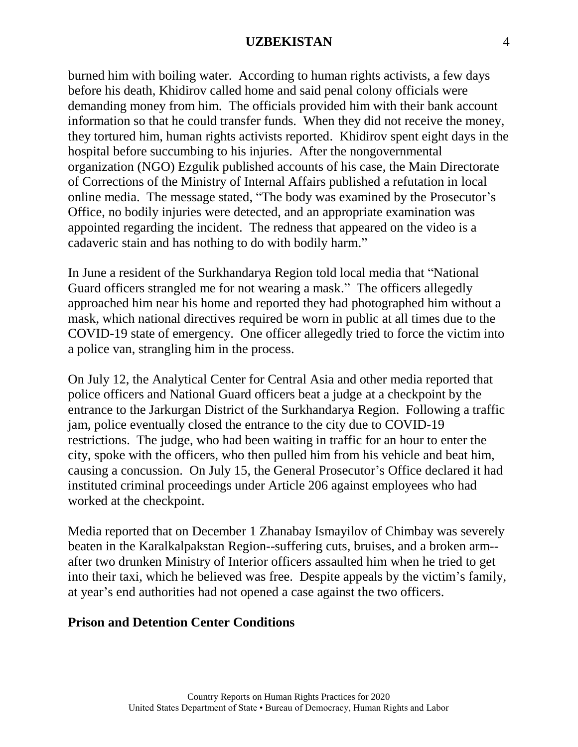burned him with boiling water. According to human rights activists, a few days before his death, Khidirov called home and said penal colony officials were demanding money from him. The officials provided him with their bank account information so that he could transfer funds. When they did not receive the money, they tortured him, human rights activists reported. Khidirov spent eight days in the hospital before succumbing to his injuries. After the nongovernmental organization (NGO) Ezgulik published accounts of his case, the Main Directorate of Corrections of the Ministry of Internal Affairs published a refutation in local online media. The message stated, "The body was examined by the Prosecutor's Office, no bodily injuries were detected, and an appropriate examination was appointed regarding the incident. The redness that appeared on the video is a cadaveric stain and has nothing to do with bodily harm."

In June a resident of the Surkhandarya Region told local media that "National Guard officers strangled me for not wearing a mask." The officers allegedly approached him near his home and reported they had photographed him without a mask, which national directives required be worn in public at all times due to the COVID-19 state of emergency. One officer allegedly tried to force the victim into a police van, strangling him in the process.

On July 12, the Analytical Center for Central Asia and other media reported that police officers and National Guard officers beat a judge at a checkpoint by the entrance to the Jarkurgan District of the Surkhandarya Region. Following a traffic jam, police eventually closed the entrance to the city due to COVID-19 restrictions. The judge, who had been waiting in traffic for an hour to enter the city, spoke with the officers, who then pulled him from his vehicle and beat him, causing a concussion. On July 15, the General Prosecutor's Office declared it had instituted criminal proceedings under Article 206 against employees who had worked at the checkpoint.

Media reported that on December 1 Zhanabay Ismayilov of Chimbay was severely beaten in the Karalkalpakstan Region--suffering cuts, bruises, and a broken arm- after two drunken Ministry of Interior officers assaulted him when he tried to get into their taxi, which he believed was free. Despite appeals by the victim's family, at year's end authorities had not opened a case against the two officers.

#### **Prison and Detention Center Conditions**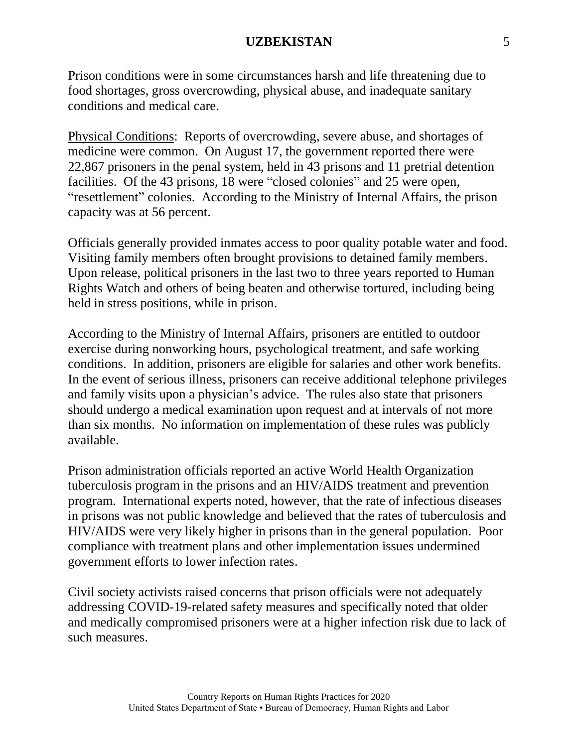Prison conditions were in some circumstances harsh and life threatening due to food shortages, gross overcrowding, physical abuse, and inadequate sanitary conditions and medical care.

Physical Conditions: Reports of overcrowding, severe abuse, and shortages of medicine were common. On August 17, the government reported there were 22,867 prisoners in the penal system, held in 43 prisons and 11 pretrial detention facilities. Of the 43 prisons, 18 were "closed colonies" and 25 were open, "resettlement" colonies. According to the Ministry of Internal Affairs, the prison capacity was at 56 percent.

Officials generally provided inmates access to poor quality potable water and food. Visiting family members often brought provisions to detained family members. Upon release, political prisoners in the last two to three years reported to Human Rights Watch and others of being beaten and otherwise tortured, including being held in stress positions, while in prison.

According to the Ministry of Internal Affairs, prisoners are entitled to outdoor exercise during nonworking hours, psychological treatment, and safe working conditions. In addition, prisoners are eligible for salaries and other work benefits. In the event of serious illness, prisoners can receive additional telephone privileges and family visits upon a physician's advice. The rules also state that prisoners should undergo a medical examination upon request and at intervals of not more than six months. No information on implementation of these rules was publicly available.

Prison administration officials reported an active World Health Organization tuberculosis program in the prisons and an HIV/AIDS treatment and prevention program. International experts noted, however, that the rate of infectious diseases in prisons was not public knowledge and believed that the rates of tuberculosis and HIV/AIDS were very likely higher in prisons than in the general population. Poor compliance with treatment plans and other implementation issues undermined government efforts to lower infection rates.

Civil society activists raised concerns that prison officials were not adequately addressing COVID-19-related safety measures and specifically noted that older and medically compromised prisoners were at a higher infection risk due to lack of such measures.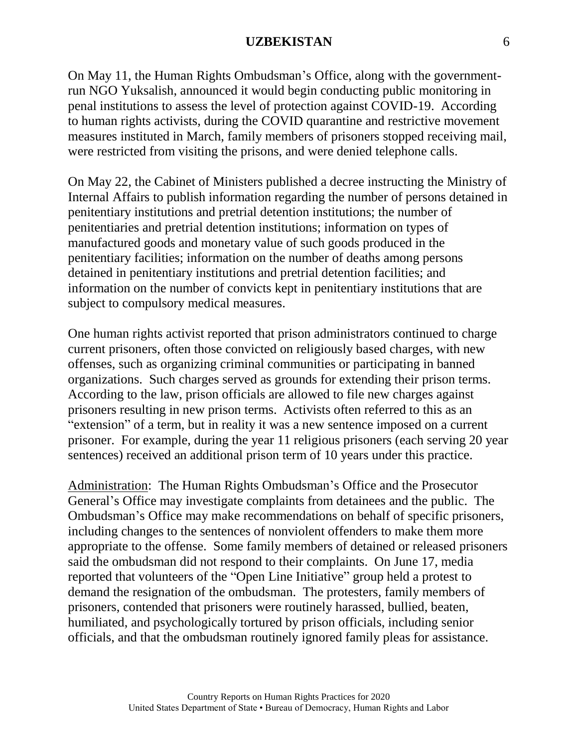On May 11, the Human Rights Ombudsman's Office, along with the governmentrun NGO Yuksalish, announced it would begin conducting public monitoring in penal institutions to assess the level of protection against COVID-19. According to human rights activists, during the COVID quarantine and restrictive movement measures instituted in March, family members of prisoners stopped receiving mail, were restricted from visiting the prisons, and were denied telephone calls.

On May 22, the Cabinet of Ministers published a decree instructing the Ministry of Internal Affairs to publish information regarding the number of persons detained in penitentiary institutions and pretrial detention institutions; the number of penitentiaries and pretrial detention institutions; information on types of manufactured goods and monetary value of such goods produced in the penitentiary facilities; information on the number of deaths among persons detained in penitentiary institutions and pretrial detention facilities; and information on the number of convicts kept in penitentiary institutions that are subject to compulsory medical measures.

One human rights activist reported that prison administrators continued to charge current prisoners, often those convicted on religiously based charges, with new offenses, such as organizing criminal communities or participating in banned organizations. Such charges served as grounds for extending their prison terms. According to the law, prison officials are allowed to file new charges against prisoners resulting in new prison terms. Activists often referred to this as an "extension" of a term, but in reality it was a new sentence imposed on a current prisoner. For example, during the year 11 religious prisoners (each serving 20 year sentences) received an additional prison term of 10 years under this practice.

Administration: The Human Rights Ombudsman's Office and the Prosecutor General's Office may investigate complaints from detainees and the public. The Ombudsman's Office may make recommendations on behalf of specific prisoners, including changes to the sentences of nonviolent offenders to make them more appropriate to the offense. Some family members of detained or released prisoners said the ombudsman did not respond to their complaints. On June 17, media reported that volunteers of the "Open Line Initiative" group held a protest to demand the resignation of the ombudsman. The protesters, family members of prisoners, contended that prisoners were routinely harassed, bullied, beaten, humiliated, and psychologically tortured by prison officials, including senior officials, and that the ombudsman routinely ignored family pleas for assistance.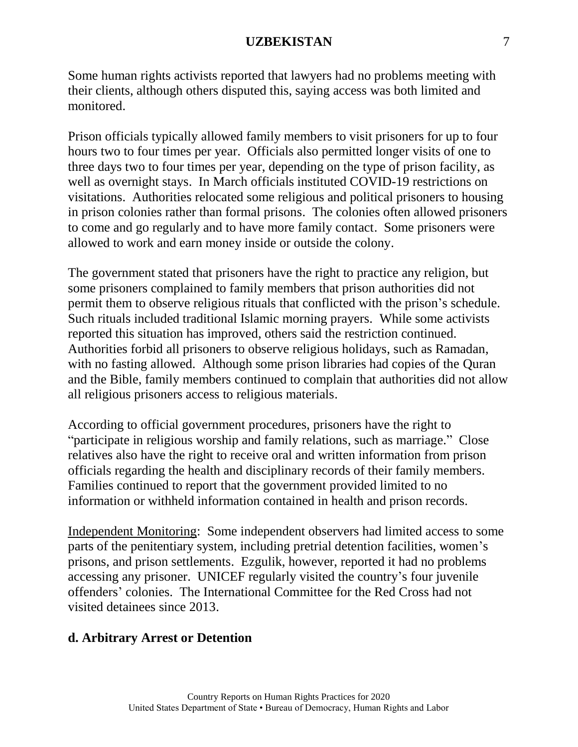Some human rights activists reported that lawyers had no problems meeting with their clients, although others disputed this, saying access was both limited and monitored.

Prison officials typically allowed family members to visit prisoners for up to four hours two to four times per year. Officials also permitted longer visits of one to three days two to four times per year, depending on the type of prison facility, as well as overnight stays. In March officials instituted COVID-19 restrictions on visitations. Authorities relocated some religious and political prisoners to housing in prison colonies rather than formal prisons. The colonies often allowed prisoners to come and go regularly and to have more family contact. Some prisoners were allowed to work and earn money inside or outside the colony.

The government stated that prisoners have the right to practice any religion, but some prisoners complained to family members that prison authorities did not permit them to observe religious rituals that conflicted with the prison's schedule. Such rituals included traditional Islamic morning prayers. While some activists reported this situation has improved, others said the restriction continued. Authorities forbid all prisoners to observe religious holidays, such as Ramadan, with no fasting allowed. Although some prison libraries had copies of the Quran and the Bible, family members continued to complain that authorities did not allow all religious prisoners access to religious materials.

According to official government procedures, prisoners have the right to "participate in religious worship and family relations, such as marriage." Close relatives also have the right to receive oral and written information from prison officials regarding the health and disciplinary records of their family members. Families continued to report that the government provided limited to no information or withheld information contained in health and prison records.

Independent Monitoring: Some independent observers had limited access to some parts of the penitentiary system, including pretrial detention facilities, women's prisons, and prison settlements. Ezgulik, however, reported it had no problems accessing any prisoner. UNICEF regularly visited the country's four juvenile offenders' colonies. The International Committee for the Red Cross had not visited detainees since 2013.

#### **d. Arbitrary Arrest or Detention**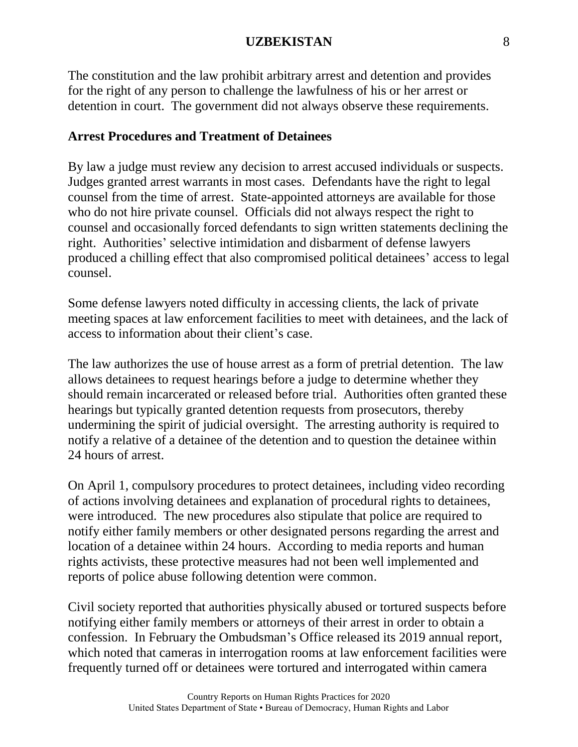The constitution and the law prohibit arbitrary arrest and detention and provides for the right of any person to challenge the lawfulness of his or her arrest or detention in court. The government did not always observe these requirements.

#### **Arrest Procedures and Treatment of Detainees**

By law a judge must review any decision to arrest accused individuals or suspects. Judges granted arrest warrants in most cases. Defendants have the right to legal counsel from the time of arrest. State-appointed attorneys are available for those who do not hire private counsel. Officials did not always respect the right to counsel and occasionally forced defendants to sign written statements declining the right. Authorities' selective intimidation and disbarment of defense lawyers produced a chilling effect that also compromised political detainees' access to legal counsel.

Some defense lawyers noted difficulty in accessing clients, the lack of private meeting spaces at law enforcement facilities to meet with detainees, and the lack of access to information about their client's case.

The law authorizes the use of house arrest as a form of pretrial detention. The law allows detainees to request hearings before a judge to determine whether they should remain incarcerated or released before trial. Authorities often granted these hearings but typically granted detention requests from prosecutors, thereby undermining the spirit of judicial oversight. The arresting authority is required to notify a relative of a detainee of the detention and to question the detainee within 24 hours of arrest.

On April 1, compulsory procedures to protect detainees, including video recording of actions involving detainees and explanation of procedural rights to detainees, were introduced. The new procedures also stipulate that police are required to notify either family members or other designated persons regarding the arrest and location of a detainee within 24 hours. According to media reports and human rights activists, these protective measures had not been well implemented and reports of police abuse following detention were common.

Civil society reported that authorities physically abused or tortured suspects before notifying either family members or attorneys of their arrest in order to obtain a confession. In February the Ombudsman's Office released its 2019 annual report, which noted that cameras in interrogation rooms at law enforcement facilities were frequently turned off or detainees were tortured and interrogated within camera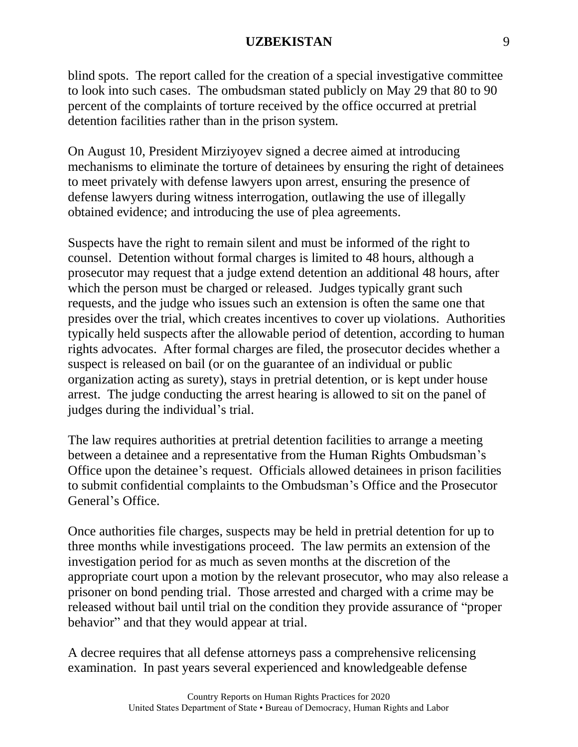blind spots. The report called for the creation of a special investigative committee to look into such cases. The ombudsman stated publicly on May 29 that 80 to 90 percent of the complaints of torture received by the office occurred at pretrial detention facilities rather than in the prison system.

On August 10, President Mirziyoyev signed a decree aimed at introducing mechanisms to eliminate the torture of detainees by ensuring the right of detainees to meet privately with defense lawyers upon arrest, ensuring the presence of defense lawyers during witness interrogation, outlawing the use of illegally obtained evidence; and introducing the use of plea agreements.

Suspects have the right to remain silent and must be informed of the right to counsel. Detention without formal charges is limited to 48 hours, although a prosecutor may request that a judge extend detention an additional 48 hours, after which the person must be charged or released. Judges typically grant such requests, and the judge who issues such an extension is often the same one that presides over the trial, which creates incentives to cover up violations. Authorities typically held suspects after the allowable period of detention, according to human rights advocates. After formal charges are filed, the prosecutor decides whether a suspect is released on bail (or on the guarantee of an individual or public organization acting as surety), stays in pretrial detention, or is kept under house arrest. The judge conducting the arrest hearing is allowed to sit on the panel of judges during the individual's trial.

The law requires authorities at pretrial detention facilities to arrange a meeting between a detainee and a representative from the Human Rights Ombudsman's Office upon the detainee's request. Officials allowed detainees in prison facilities to submit confidential complaints to the Ombudsman's Office and the Prosecutor General's Office.

Once authorities file charges, suspects may be held in pretrial detention for up to three months while investigations proceed. The law permits an extension of the investigation period for as much as seven months at the discretion of the appropriate court upon a motion by the relevant prosecutor, who may also release a prisoner on bond pending trial. Those arrested and charged with a crime may be released without bail until trial on the condition they provide assurance of "proper behavior" and that they would appear at trial.

A decree requires that all defense attorneys pass a comprehensive relicensing examination. In past years several experienced and knowledgeable defense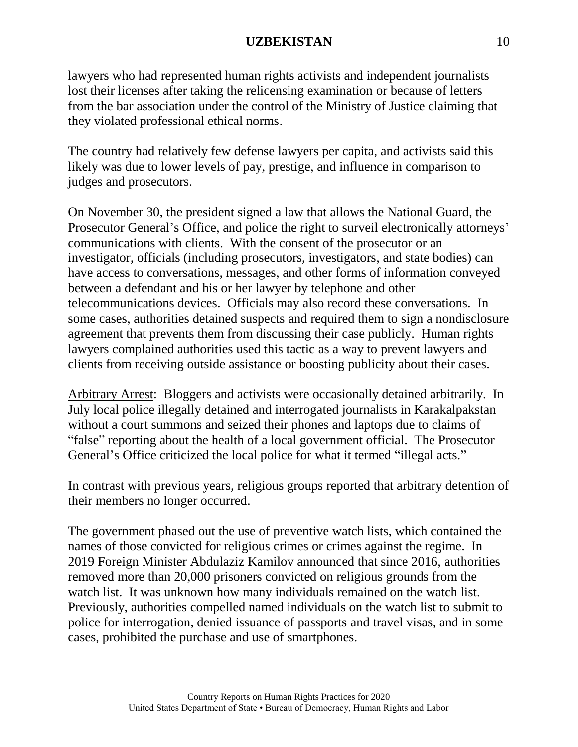lawyers who had represented human rights activists and independent journalists lost their licenses after taking the relicensing examination or because of letters from the bar association under the control of the Ministry of Justice claiming that they violated professional ethical norms.

The country had relatively few defense lawyers per capita, and activists said this likely was due to lower levels of pay, prestige, and influence in comparison to judges and prosecutors.

On November 30, the president signed a law that allows the National Guard, the Prosecutor General's Office, and police the right to surveil electronically attorneys' communications with clients. With the consent of the prosecutor or an investigator, officials (including prosecutors, investigators, and state bodies) can have access to conversations, messages, and other forms of information conveyed between a defendant and his or her lawyer by telephone and other telecommunications devices. Officials may also record these conversations. In some cases, authorities detained suspects and required them to sign a nondisclosure agreement that prevents them from discussing their case publicly. Human rights lawyers complained authorities used this tactic as a way to prevent lawyers and clients from receiving outside assistance or boosting publicity about their cases.

Arbitrary Arrest: Bloggers and activists were occasionally detained arbitrarily. In July local police illegally detained and interrogated journalists in Karakalpakstan without a court summons and seized their phones and laptops due to claims of "false" reporting about the health of a local government official. The Prosecutor General's Office criticized the local police for what it termed "illegal acts."

In contrast with previous years, religious groups reported that arbitrary detention of their members no longer occurred.

The government phased out the use of preventive watch lists, which contained the names of those convicted for religious crimes or crimes against the regime. In 2019 Foreign Minister Abdulaziz Kamilov announced that since 2016, authorities removed more than 20,000 prisoners convicted on religious grounds from the watch list. It was unknown how many individuals remained on the watch list. Previously, authorities compelled named individuals on the watch list to submit to police for interrogation, denied issuance of passports and travel visas, and in some cases, prohibited the purchase and use of smartphones.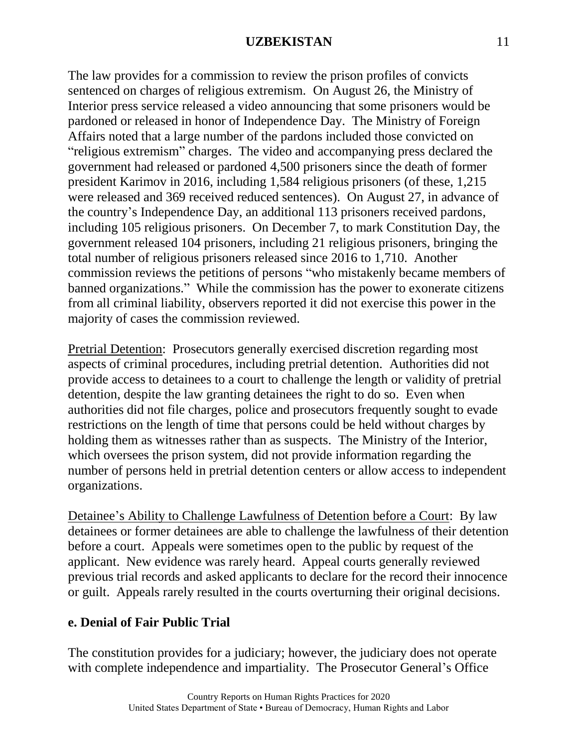The law provides for a commission to review the prison profiles of convicts sentenced on charges of religious extremism. On August 26, the Ministry of Interior press service released a video announcing that some prisoners would be pardoned or released in honor of Independence Day. The Ministry of Foreign Affairs noted that a large number of the pardons included those convicted on "religious extremism" charges. The video and accompanying press declared the government had released or pardoned 4,500 prisoners since the death of former president Karimov in 2016, including 1,584 religious prisoners (of these, 1,215 were released and 369 received reduced sentences). On August 27, in advance of the country's Independence Day, an additional 113 prisoners received pardons, including 105 religious prisoners. On December 7, to mark Constitution Day, the government released 104 prisoners, including 21 religious prisoners, bringing the total number of religious prisoners released since 2016 to 1,710. Another commission reviews the petitions of persons "who mistakenly became members of banned organizations." While the commission has the power to exonerate citizens from all criminal liability, observers reported it did not exercise this power in the majority of cases the commission reviewed.

Pretrial Detention: Prosecutors generally exercised discretion regarding most aspects of criminal procedures, including pretrial detention. Authorities did not provide access to detainees to a court to challenge the length or validity of pretrial detention, despite the law granting detainees the right to do so. Even when authorities did not file charges, police and prosecutors frequently sought to evade restrictions on the length of time that persons could be held without charges by holding them as witnesses rather than as suspects. The Ministry of the Interior, which oversees the prison system, did not provide information regarding the number of persons held in pretrial detention centers or allow access to independent organizations.

Detainee's Ability to Challenge Lawfulness of Detention before a Court: By law detainees or former detainees are able to challenge the lawfulness of their detention before a court. Appeals were sometimes open to the public by request of the applicant. New evidence was rarely heard. Appeal courts generally reviewed previous trial records and asked applicants to declare for the record their innocence or guilt. Appeals rarely resulted in the courts overturning their original decisions.

# **e. Denial of Fair Public Trial**

The constitution provides for a judiciary; however, the judiciary does not operate with complete independence and impartiality. The Prosecutor General's Office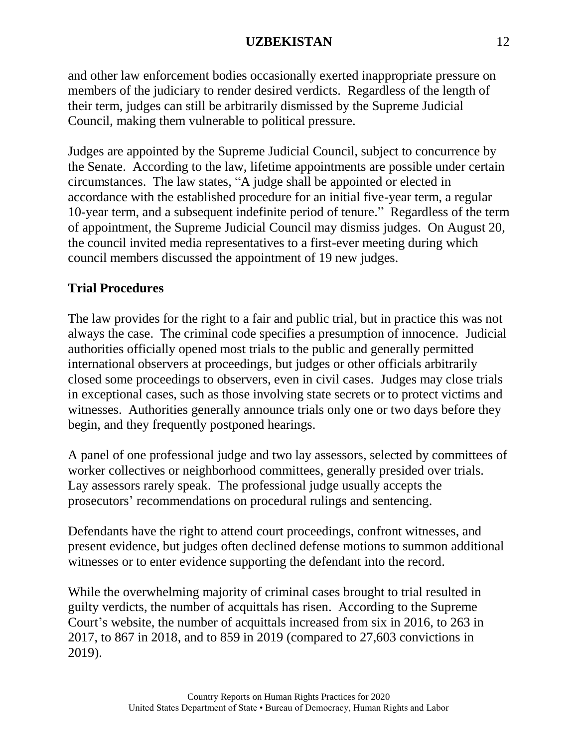and other law enforcement bodies occasionally exerted inappropriate pressure on members of the judiciary to render desired verdicts. Regardless of the length of their term, judges can still be arbitrarily dismissed by the Supreme Judicial Council, making them vulnerable to political pressure.

Judges are appointed by the Supreme Judicial Council, subject to concurrence by the Senate. According to the law, lifetime appointments are possible under certain circumstances. The law states, "A judge shall be appointed or elected in accordance with the established procedure for an initial five-year term, a regular 10-year term, and a subsequent indefinite period of tenure." Regardless of the term of appointment, the Supreme Judicial Council may dismiss judges. On August 20, the council invited media representatives to a first-ever meeting during which council members discussed the appointment of 19 new judges.

# **Trial Procedures**

The law provides for the right to a fair and public trial, but in practice this was not always the case. The criminal code specifies a presumption of innocence. Judicial authorities officially opened most trials to the public and generally permitted international observers at proceedings, but judges or other officials arbitrarily closed some proceedings to observers, even in civil cases. Judges may close trials in exceptional cases, such as those involving state secrets or to protect victims and witnesses. Authorities generally announce trials only one or two days before they begin, and they frequently postponed hearings.

A panel of one professional judge and two lay assessors, selected by committees of worker collectives or neighborhood committees, generally presided over trials. Lay assessors rarely speak. The professional judge usually accepts the prosecutors' recommendations on procedural rulings and sentencing.

Defendants have the right to attend court proceedings, confront witnesses, and present evidence, but judges often declined defense motions to summon additional witnesses or to enter evidence supporting the defendant into the record.

While the overwhelming majority of criminal cases brought to trial resulted in guilty verdicts, the number of acquittals has risen. According to the Supreme Court's website, the number of acquittals increased from six in 2016, to 263 in 2017, to 867 in 2018, and to 859 in 2019 (compared to 27,603 convictions in 2019).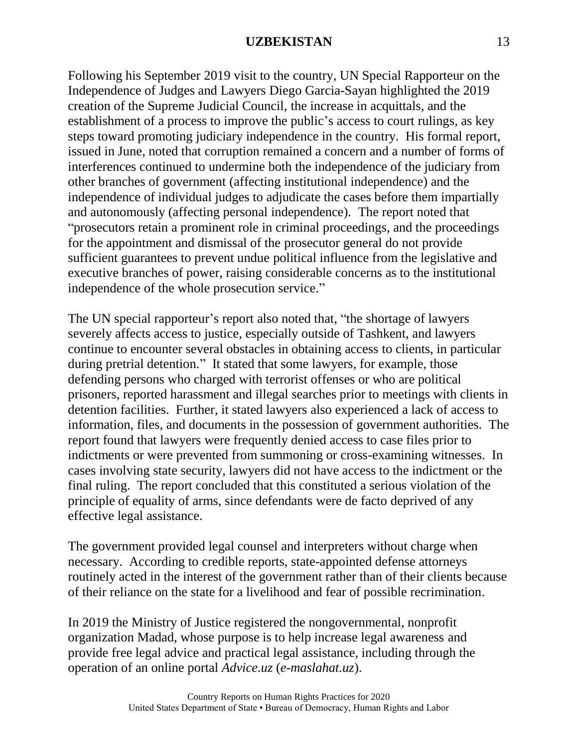Following his September 2019 visit to the country, UN Special Rapporteur on the Independence of Judges and Lawyers Diego Garcia-Sayan highlighted the 2019 creation of the Supreme Judicial Council, the increase in acquittals, and the establishment of a process to improve the public's access to court rulings, as key steps toward promoting judiciary independence in the country. His formal report, issued in June, noted that corruption remained a concern and a number of forms of interferences continued to undermine both the independence of the judiciary from other branches of government (affecting institutional independence) and the independence of individual judges to adjudicate the cases before them impartially and autonomously (affecting personal independence). The report noted that "prosecutors retain a prominent role in criminal proceedings, and the proceedings for the appointment and dismissal of the prosecutor general do not provide sufficient guarantees to prevent undue political influence from the legislative and executive branches of power, raising considerable concerns as to the institutional independence of the whole prosecution service."

The UN special rapporteur's report also noted that, "the shortage of lawyers severely affects access to justice, especially outside of Tashkent, and lawyers continue to encounter several obstacles in obtaining access to clients, in particular during pretrial detention." It stated that some lawyers, for example, those defending persons who charged with terrorist offenses or who are political prisoners, reported harassment and illegal searches prior to meetings with clients in detention facilities. Further, it stated lawyers also experienced a lack of access to information, files, and documents in the possession of government authorities. The report found that lawyers were frequently denied access to case files prior to indictments or were prevented from summoning or cross-examining witnesses. In cases involving state security, lawyers did not have access to the indictment or the final ruling. The report concluded that this constituted a serious violation of the principle of equality of arms, since defendants were de facto deprived of any effective legal assistance.

The government provided legal counsel and interpreters without charge when necessary. According to credible reports, state-appointed defense attorneys routinely acted in the interest of the government rather than of their clients because of their reliance on the state for a livelihood and fear of possible recrimination.

In 2019 the Ministry of Justice registered the nongovernmental, nonprofit organization Madad, whose purpose is to help increase legal awareness and provide free legal advice and practical legal assistance, including through the operation of an online portal *Advice.uz* (*e-maslahat.uz*).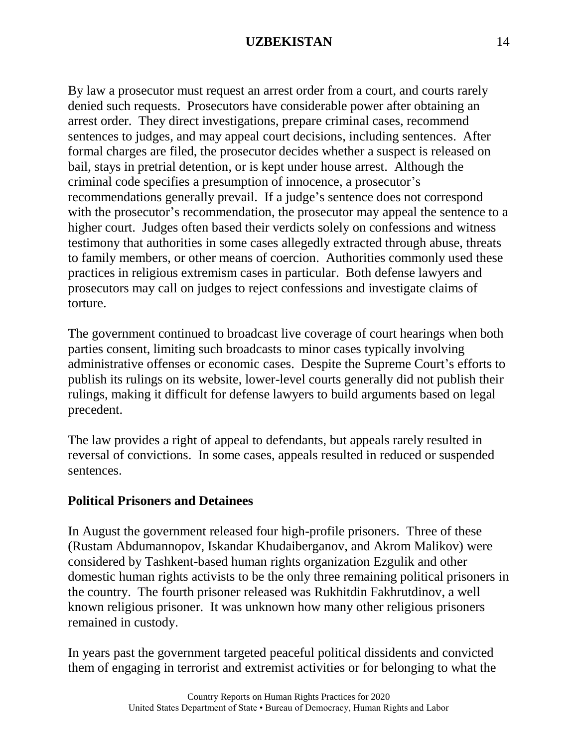By law a prosecutor must request an arrest order from a court, and courts rarely denied such requests. Prosecutors have considerable power after obtaining an arrest order. They direct investigations, prepare criminal cases, recommend sentences to judges, and may appeal court decisions, including sentences. After formal charges are filed, the prosecutor decides whether a suspect is released on bail, stays in pretrial detention, or is kept under house arrest. Although the criminal code specifies a presumption of innocence, a prosecutor's recommendations generally prevail. If a judge's sentence does not correspond with the prosecutor's recommendation, the prosecutor may appeal the sentence to a higher court. Judges often based their verdicts solely on confessions and witness testimony that authorities in some cases allegedly extracted through abuse, threats to family members, or other means of coercion. Authorities commonly used these practices in religious extremism cases in particular. Both defense lawyers and prosecutors may call on judges to reject confessions and investigate claims of torture.

The government continued to broadcast live coverage of court hearings when both parties consent, limiting such broadcasts to minor cases typically involving administrative offenses or economic cases. Despite the Supreme Court's efforts to publish its rulings on its website, lower-level courts generally did not publish their rulings, making it difficult for defense lawyers to build arguments based on legal precedent.

The law provides a right of appeal to defendants, but appeals rarely resulted in reversal of convictions. In some cases, appeals resulted in reduced or suspended sentences.

#### **Political Prisoners and Detainees**

In August the government released four high-profile prisoners. Three of these (Rustam Abdumannopov, Iskandar Khudaiberganov, and Akrom Malikov) were considered by Tashkent-based human rights organization Ezgulik and other domestic human rights activists to be the only three remaining political prisoners in the country. The fourth prisoner released was Rukhitdin Fakhrutdinov, a well known religious prisoner. It was unknown how many other religious prisoners remained in custody.

In years past the government targeted peaceful political dissidents and convicted them of engaging in terrorist and extremist activities or for belonging to what the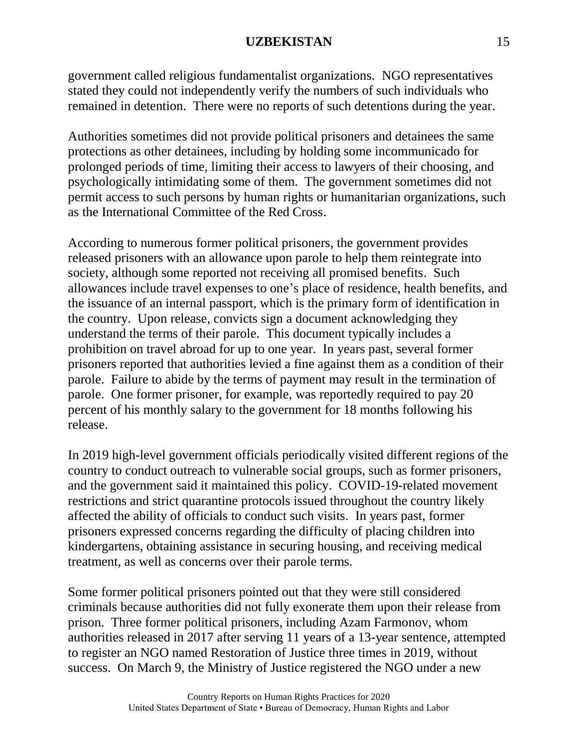government called religious fundamentalist organizations. NGO representatives stated they could not independently verify the numbers of such individuals who remained in detention. There were no reports of such detentions during the year.

Authorities sometimes did not provide political prisoners and detainees the same protections as other detainees, including by holding some incommunicado for prolonged periods of time, limiting their access to lawyers of their choosing, and psychologically intimidating some of them. The government sometimes did not permit access to such persons by human rights or humanitarian organizations, such as the International Committee of the Red Cross.

According to numerous former political prisoners, the government provides released prisoners with an allowance upon parole to help them reintegrate into society, although some reported not receiving all promised benefits. Such allowances include travel expenses to one's place of residence, health benefits, and the issuance of an internal passport, which is the primary form of identification in the country. Upon release, convicts sign a document acknowledging they understand the terms of their parole. This document typically includes a prohibition on travel abroad for up to one year. In years past, several former prisoners reported that authorities levied a fine against them as a condition of their parole. Failure to abide by the terms of payment may result in the termination of parole. One former prisoner, for example, was reportedly required to pay 20 percent of his monthly salary to the government for 18 months following his release.

In 2019 high-level government officials periodically visited different regions of the country to conduct outreach to vulnerable social groups, such as former prisoners, and the government said it maintained this policy. COVID-19-related movement restrictions and strict quarantine protocols issued throughout the country likely affected the ability of officials to conduct such visits. In years past, former prisoners expressed concerns regarding the difficulty of placing children into kindergartens, obtaining assistance in securing housing, and receiving medical treatment, as well as concerns over their parole terms.

Some former political prisoners pointed out that they were still considered criminals because authorities did not fully exonerate them upon their release from prison. Three former political prisoners, including Azam Farmonov, whom authorities released in 2017 after serving 11 years of a 13-year sentence, attempted to register an NGO named Restoration of Justice three times in 2019, without success. On March 9, the Ministry of Justice registered the NGO under a new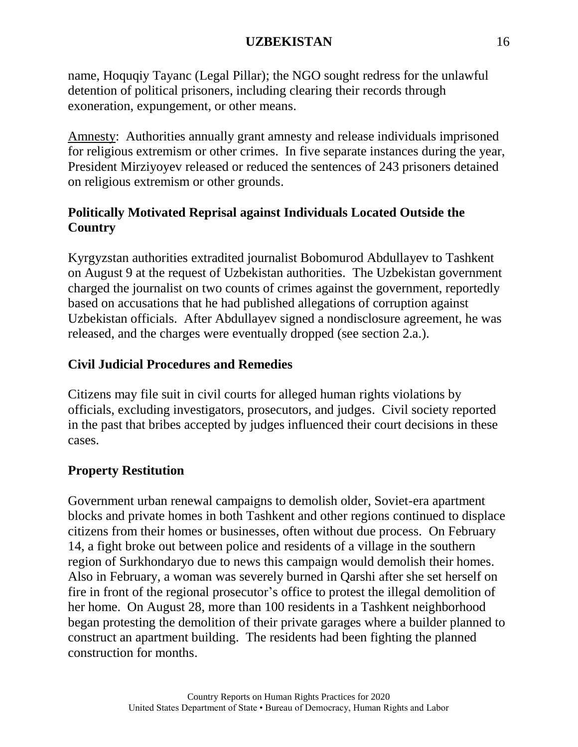name, Hoquqiy Tayanc (Legal Pillar); the NGO sought redress for the unlawful detention of political prisoners, including clearing their records through exoneration, expungement, or other means.

Amnesty: Authorities annually grant amnesty and release individuals imprisoned for religious extremism or other crimes. In five separate instances during the year, President Mirziyoyev released or reduced the sentences of 243 prisoners detained on religious extremism or other grounds.

# **Politically Motivated Reprisal against Individuals Located Outside the Country**

Kyrgyzstan authorities extradited journalist Bobomurod Abdullayev to Tashkent on August 9 at the request of Uzbekistan authorities. The Uzbekistan government charged the journalist on two counts of crimes against the government, reportedly based on accusations that he had published allegations of corruption against Uzbekistan officials. After Abdullayev signed a nondisclosure agreement, he was released, and the charges were eventually dropped (see section 2.a.).

# **Civil Judicial Procedures and Remedies**

Citizens may file suit in civil courts for alleged human rights violations by officials, excluding investigators, prosecutors, and judges. Civil society reported in the past that bribes accepted by judges influenced their court decisions in these cases.

# **Property Restitution**

Government urban renewal campaigns to demolish older, Soviet-era apartment blocks and private homes in both Tashkent and other regions continued to displace citizens from their homes or businesses, often without due process. On February 14, a fight broke out between police and residents of a village in the southern region of Surkhondaryo due to news this campaign would demolish their homes. Also in February, a woman was severely burned in Qarshi after she set herself on fire in front of the regional prosecutor's office to protest the illegal demolition of her home. On August 28, more than 100 residents in a Tashkent neighborhood began protesting the demolition of their private garages where a builder planned to construct an apartment building. The residents had been fighting the planned construction for months.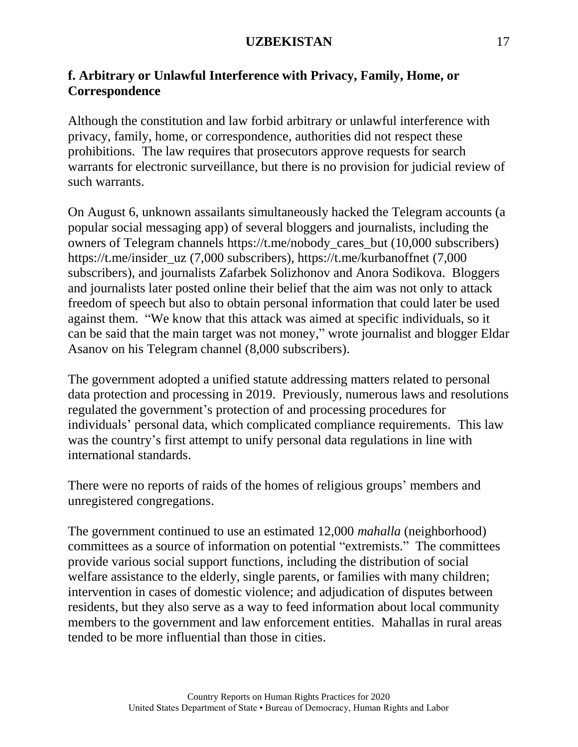# **f. Arbitrary or Unlawful Interference with Privacy, Family, Home, or Correspondence**

Although the constitution and law forbid arbitrary or unlawful interference with privacy, family, home, or correspondence, authorities did not respect these prohibitions. The law requires that prosecutors approve requests for search warrants for electronic surveillance, but there is no provision for judicial review of such warrants.

On August 6, unknown assailants simultaneously hacked the Telegram accounts (a popular social messaging app) of several bloggers and journalists, including the owners of Telegram channels https://t.me/nobody\_cares\_but (10,000 subscribers) https://t.me/insider\_uz (7,000 subscribers), https://t.me/kurbanoffnet (7,000 subscribers), and journalists Zafarbek Solizhonov and Anora Sodikova. Bloggers and journalists later posted online their belief that the aim was not only to attack freedom of speech but also to obtain personal information that could later be used against them. "We know that this attack was aimed at specific individuals, so it can be said that the main target was not money," wrote journalist and blogger Eldar Asanov on his Telegram channel (8,000 subscribers).

The government adopted a unified statute addressing matters related to personal data protection and processing in 2019. Previously, numerous laws and resolutions regulated the government's protection of and processing procedures for individuals' personal data, which complicated compliance requirements. This law was the country's first attempt to unify personal data regulations in line with international standards.

There were no reports of raids of the homes of religious groups' members and unregistered congregations.

The government continued to use an estimated 12,000 *mahalla* (neighborhood) committees as a source of information on potential "extremists." The committees provide various social support functions, including the distribution of social welfare assistance to the elderly, single parents, or families with many children; intervention in cases of domestic violence; and adjudication of disputes between residents, but they also serve as a way to feed information about local community members to the government and law enforcement entities. Mahallas in rural areas tended to be more influential than those in cities.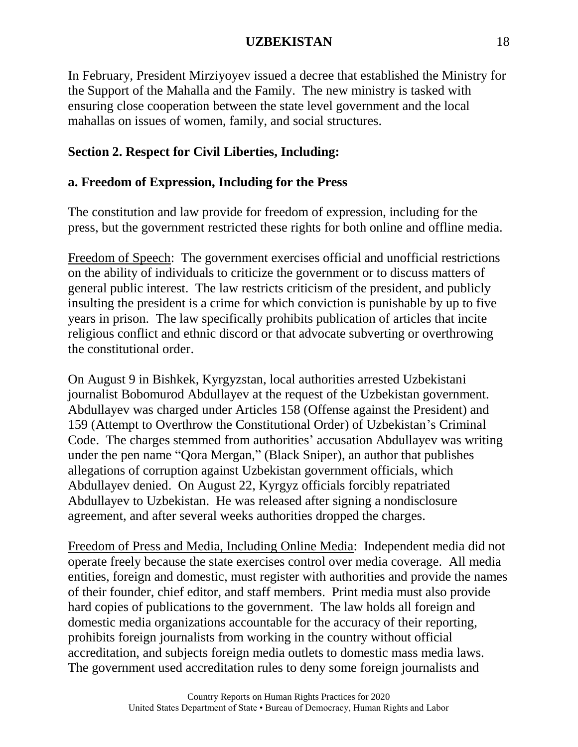In February, President Mirziyoyev issued a decree that established the Ministry for the Support of the Mahalla and the Family. The new ministry is tasked with ensuring close cooperation between the state level government and the local mahallas on issues of women, family, and social structures.

# **Section 2. Respect for Civil Liberties, Including:**

# **a. Freedom of Expression, Including for the Press**

The constitution and law provide for freedom of expression, including for the press, but the government restricted these rights for both online and offline media.

Freedom of Speech: The government exercises official and unofficial restrictions on the ability of individuals to criticize the government or to discuss matters of general public interest. The law restricts criticism of the president, and publicly insulting the president is a crime for which conviction is punishable by up to five years in prison. The law specifically prohibits publication of articles that incite religious conflict and ethnic discord or that advocate subverting or overthrowing the constitutional order.

On August 9 in Bishkek, Kyrgyzstan, local authorities arrested Uzbekistani journalist Bobomurod Abdullayev at the request of the Uzbekistan government. Abdullayev was charged under Articles 158 (Offense against the President) and 159 (Attempt to Overthrow the Constitutional Order) of Uzbekistan's Criminal Code. The charges stemmed from authorities' accusation Abdullayev was writing under the pen name "Qora Mergan," (Black Sniper), an author that publishes allegations of corruption against Uzbekistan government officials, which Abdullayev denied. On August 22, Kyrgyz officials forcibly repatriated Abdullayev to Uzbekistan. He was released after signing a nondisclosure agreement, and after several weeks authorities dropped the charges.

Freedom of Press and Media, Including Online Media: Independent media did not operate freely because the state exercises control over media coverage. All media entities, foreign and domestic, must register with authorities and provide the names of their founder, chief editor, and staff members. Print media must also provide hard copies of publications to the government. The law holds all foreign and domestic media organizations accountable for the accuracy of their reporting, prohibits foreign journalists from working in the country without official accreditation, and subjects foreign media outlets to domestic mass media laws. The government used accreditation rules to deny some foreign journalists and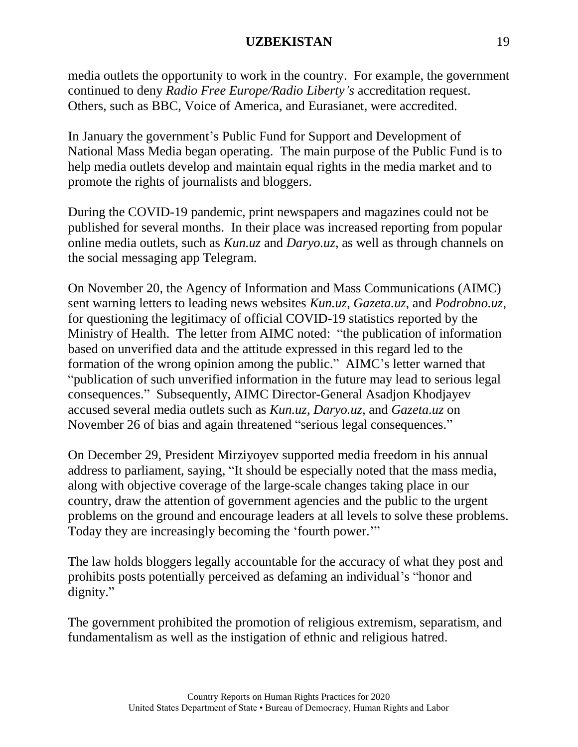media outlets the opportunity to work in the country. For example, the government continued to deny *Radio Free Europe/Radio Liberty's* accreditation request. Others, such as BBC, Voice of America, and Eurasianet, were accredited.

In January the government's Public Fund for Support and Development of National Mass Media began operating. The main purpose of the Public Fund is to help media outlets develop and maintain equal rights in the media market and to promote the rights of journalists and bloggers.

During the COVID-19 pandemic, print newspapers and magazines could not be published for several months. In their place was increased reporting from popular online media outlets, such as *Kun.uz* and *Daryo.uz*, as well as through channels on the social messaging app Telegram.

On November 20, the Agency of Information and Mass Communications (AIMC) sent warning letters to leading news websites *Kun.uz*, *Gazeta.uz*, and *Podrobno.uz*, for questioning the legitimacy of official COVID-19 statistics reported by the Ministry of Health. The letter from AIMC noted: "the publication of information based on unverified data and the attitude expressed in this regard led to the formation of the wrong opinion among the public." AIMC's letter warned that "publication of such unverified information in the future may lead to serious legal consequences." Subsequently, AIMC Director-General Asadjon Khodjayev accused several media outlets such as *Kun.uz*, *Daryo.uz*, and *Gazeta.uz* on November 26 of bias and again threatened "serious legal consequences."

On December 29, President Mirziyoyev supported media freedom in his annual address to parliament, saying, "It should be especially noted that the mass media, along with objective coverage of the large-scale changes taking place in our country, draw the attention of government agencies and the public to the urgent problems on the ground and encourage leaders at all levels to solve these problems. Today they are increasingly becoming the 'fourth power.'"

The law holds bloggers legally accountable for the accuracy of what they post and prohibits posts potentially perceived as defaming an individual's "honor and dignity."

The government prohibited the promotion of religious extremism, separatism, and fundamentalism as well as the instigation of ethnic and religious hatred.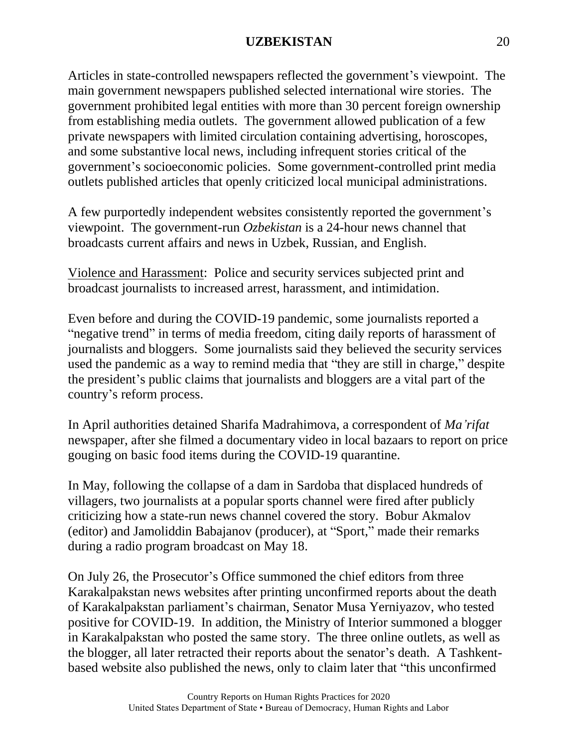Articles in state-controlled newspapers reflected the government's viewpoint. The main government newspapers published selected international wire stories. The government prohibited legal entities with more than 30 percent foreign ownership from establishing media outlets. The government allowed publication of a few private newspapers with limited circulation containing advertising, horoscopes, and some substantive local news, including infrequent stories critical of the government's socioeconomic policies. Some government-controlled print media outlets published articles that openly criticized local municipal administrations.

A few purportedly independent websites consistently reported the government's viewpoint. The government-run *Ozbekistan* is a 24-hour news channel that broadcasts current affairs and news in Uzbek, Russian, and English.

Violence and Harassment: Police and security services subjected print and broadcast journalists to increased arrest, harassment, and intimidation.

Even before and during the COVID-19 pandemic, some journalists reported a "negative trend" in terms of media freedom, citing daily reports of harassment of journalists and bloggers. Some journalists said they believed the security services used the pandemic as a way to remind media that "they are still in charge," despite the president's public claims that journalists and bloggers are a vital part of the country's reform process.

In April authorities detained Sharifa Madrahimova, a correspondent of *Ma'rifat* newspaper, after she filmed a documentary video in local bazaars to report on price gouging on basic food items during the COVID-19 quarantine.

In May, following the collapse of a dam in Sardoba that displaced hundreds of villagers, two journalists at a popular sports channel were fired after publicly criticizing how a state-run news channel covered the story. Bobur Akmalov (editor) and Jamoliddin Babajanov (producer), at "Sport," made their remarks during a radio program broadcast on May 18.

On July 26, the Prosecutor's Office summoned the chief editors from three Karakalpakstan news websites after printing unconfirmed reports about the death of Karakalpakstan parliament's chairman, Senator Musa Yerniyazov, who tested positive for COVID-19. In addition, the Ministry of Interior summoned a blogger in Karakalpakstan who posted the same story. The three online outlets, as well as the blogger, all later retracted their reports about the senator's death. A Tashkentbased website also published the news, only to claim later that "this unconfirmed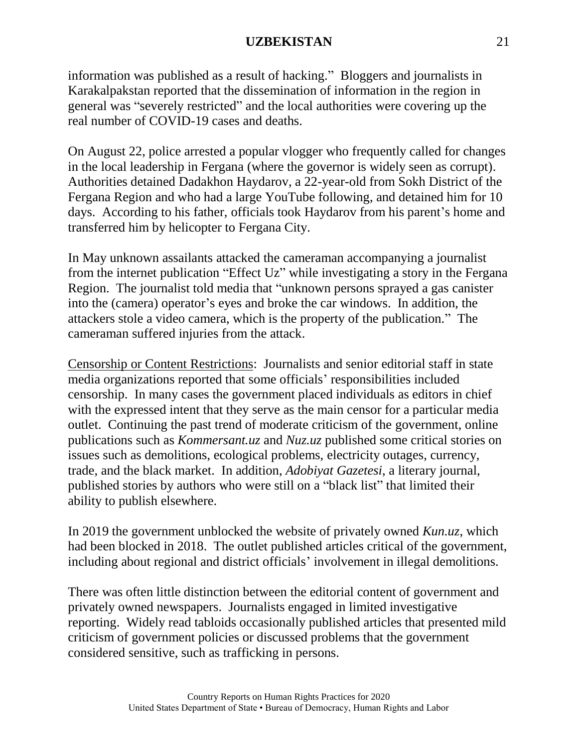information was published as a result of hacking." Bloggers and journalists in Karakalpakstan reported that the dissemination of information in the region in general was "severely restricted" and the local authorities were covering up the real number of COVID-19 cases and deaths.

On August 22, police arrested a popular vlogger who frequently called for changes in the local leadership in Fergana (where the governor is widely seen as corrupt). Authorities detained Dadakhon Haydarov, a 22-year-old from Sokh District of the Fergana Region and who had a large YouTube following, and detained him for 10 days. According to his father, officials took Haydarov from his parent's home and transferred him by helicopter to Fergana City.

In May unknown assailants attacked the cameraman accompanying a journalist from the internet publication "Effect Uz" while investigating a story in the Fergana Region. The journalist told media that "unknown persons sprayed a gas canister into the (camera) operator's eyes and broke the car windows. In addition, the attackers stole a video camera, which is the property of the publication." The cameraman suffered injuries from the attack.

Censorship or Content Restrictions: Journalists and senior editorial staff in state media organizations reported that some officials' responsibilities included censorship. In many cases the government placed individuals as editors in chief with the expressed intent that they serve as the main censor for a particular media outlet. Continuing the past trend of moderate criticism of the government, online publications such as *Kommersant.uz* and *Nuz.uz* published some critical stories on issues such as demolitions, ecological problems, electricity outages, currency, trade, and the black market. In addition, *Adobiyat Gazetesi*, a literary journal, published stories by authors who were still on a "black list" that limited their ability to publish elsewhere.

In 2019 the government unblocked the website of privately owned *Kun.uz*, which had been blocked in 2018. The outlet published articles critical of the government, including about regional and district officials' involvement in illegal demolitions.

There was often little distinction between the editorial content of government and privately owned newspapers. Journalists engaged in limited investigative reporting. Widely read tabloids occasionally published articles that presented mild criticism of government policies or discussed problems that the government considered sensitive, such as trafficking in persons.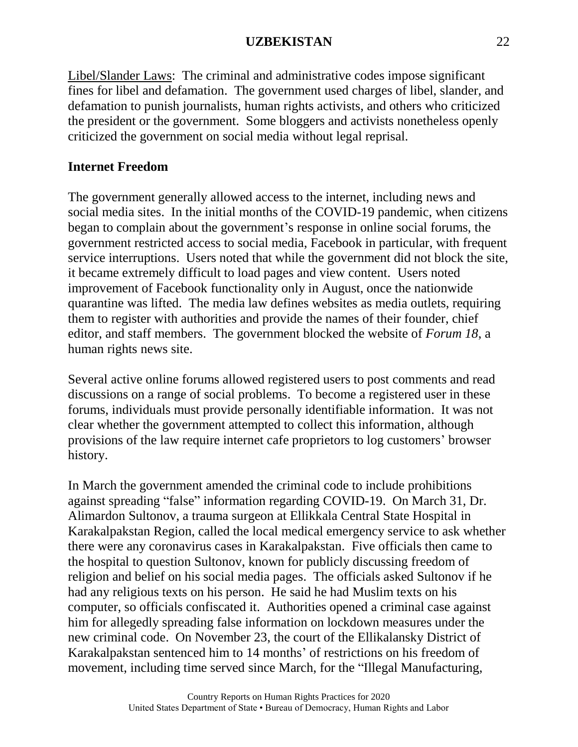Libel/Slander Laws: The criminal and administrative codes impose significant fines for libel and defamation. The government used charges of libel, slander, and defamation to punish journalists, human rights activists, and others who criticized the president or the government. Some bloggers and activists nonetheless openly criticized the government on social media without legal reprisal.

## **Internet Freedom**

The government generally allowed access to the internet, including news and social media sites. In the initial months of the COVID-19 pandemic, when citizens began to complain about the government's response in online social forums, the government restricted access to social media, Facebook in particular, with frequent service interruptions. Users noted that while the government did not block the site, it became extremely difficult to load pages and view content. Users noted improvement of Facebook functionality only in August, once the nationwide quarantine was lifted. The media law defines websites as media outlets, requiring them to register with authorities and provide the names of their founder, chief editor, and staff members. The government blocked the website of *Forum 18*, a human rights news site.

Several active online forums allowed registered users to post comments and read discussions on a range of social problems. To become a registered user in these forums, individuals must provide personally identifiable information. It was not clear whether the government attempted to collect this information, although provisions of the law require internet cafe proprietors to log customers' browser history.

In March the government amended the criminal code to include prohibitions against spreading "false" information regarding COVID-19. On March 31, Dr. Alimardon Sultonov, a trauma surgeon at Ellikkala Central State Hospital in Karakalpakstan Region, called the local medical emergency service to ask whether there were any coronavirus cases in Karakalpakstan. Five officials then came to the hospital to question Sultonov, known for publicly discussing freedom of religion and belief on his social media pages. The officials asked Sultonov if he had any religious texts on his person. He said he had Muslim texts on his computer, so officials confiscated it. Authorities opened a criminal case against him for allegedly spreading false information on lockdown measures under the new criminal code. On November 23, the court of the Ellikalansky District of Karakalpakstan sentenced him to 14 months' of restrictions on his freedom of movement, including time served since March, for the "Illegal Manufacturing,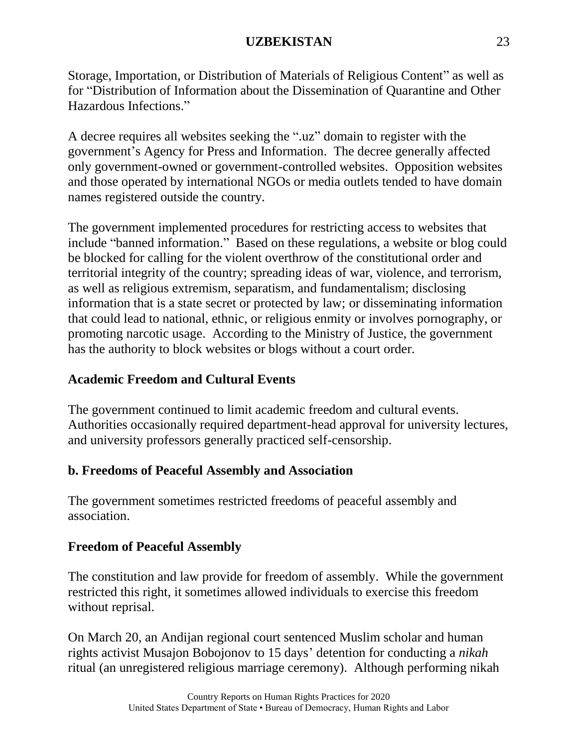Storage, Importation, or Distribution of Materials of Religious Content" as well as for "Distribution of Information about the Dissemination of Quarantine and Other Hazardous Infections."

A decree requires all websites seeking the ".uz" domain to register with the government's Agency for Press and Information. The decree generally affected only government-owned or government-controlled websites. Opposition websites and those operated by international NGOs or media outlets tended to have domain names registered outside the country.

The government implemented procedures for restricting access to websites that include "banned information." Based on these regulations, a website or blog could be blocked for calling for the violent overthrow of the constitutional order and territorial integrity of the country; spreading ideas of war, violence, and terrorism, as well as religious extremism, separatism, and fundamentalism; disclosing information that is a state secret or protected by law; or disseminating information that could lead to national, ethnic, or religious enmity or involves pornography, or promoting narcotic usage. According to the Ministry of Justice, the government has the authority to block websites or blogs without a court order.

# **Academic Freedom and Cultural Events**

The government continued to limit academic freedom and cultural events. Authorities occasionally required department-head approval for university lectures, and university professors generally practiced self-censorship.

# **b. Freedoms of Peaceful Assembly and Association**

The government sometimes restricted freedoms of peaceful assembly and association.

# **Freedom of Peaceful Assembly**

The constitution and law provide for freedom of assembly. While the government restricted this right, it sometimes allowed individuals to exercise this freedom without reprisal.

On March 20, an Andijan regional court sentenced Muslim scholar and human rights activist Musajon Bobojonov to 15 days' detention for conducting a *nikah* ritual (an unregistered religious marriage ceremony). Although performing nikah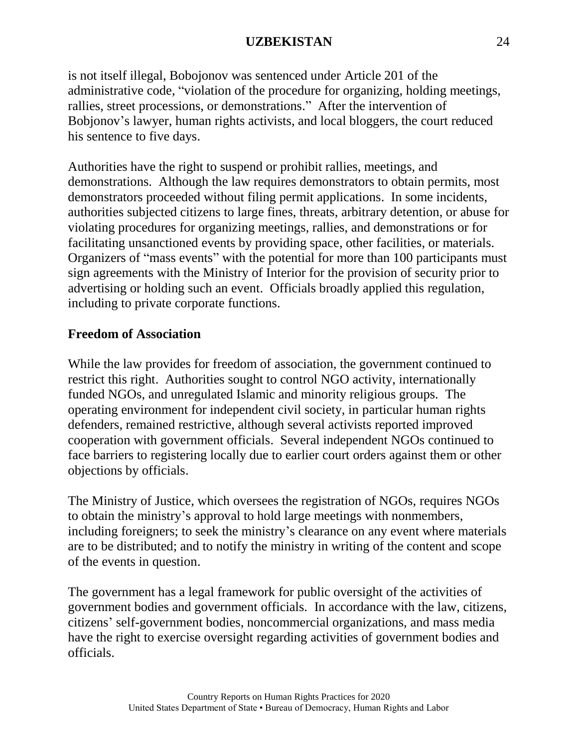is not itself illegal, Bobojonov was sentenced under Article 201 of the administrative code, "violation of the procedure for organizing, holding meetings, rallies, street processions, or demonstrations." After the intervention of Bobjonov's lawyer, human rights activists, and local bloggers, the court reduced his sentence to five days.

Authorities have the right to suspend or prohibit rallies, meetings, and demonstrations. Although the law requires demonstrators to obtain permits, most demonstrators proceeded without filing permit applications. In some incidents, authorities subjected citizens to large fines, threats, arbitrary detention, or abuse for violating procedures for organizing meetings, rallies, and demonstrations or for facilitating unsanctioned events by providing space, other facilities, or materials. Organizers of "mass events" with the potential for more than 100 participants must sign agreements with the Ministry of Interior for the provision of security prior to advertising or holding such an event. Officials broadly applied this regulation, including to private corporate functions.

# **Freedom of Association**

While the law provides for freedom of association, the government continued to restrict this right. Authorities sought to control NGO activity, internationally funded NGOs, and unregulated Islamic and minority religious groups. The operating environment for independent civil society, in particular human rights defenders, remained restrictive, although several activists reported improved cooperation with government officials. Several independent NGOs continued to face barriers to registering locally due to earlier court orders against them or other objections by officials.

The Ministry of Justice, which oversees the registration of NGOs, requires NGOs to obtain the ministry's approval to hold large meetings with nonmembers, including foreigners; to seek the ministry's clearance on any event where materials are to be distributed; and to notify the ministry in writing of the content and scope of the events in question.

The government has a legal framework for public oversight of the activities of government bodies and government officials. In accordance with the law, citizens, citizens' self-government bodies, noncommercial organizations, and mass media have the right to exercise oversight regarding activities of government bodies and officials.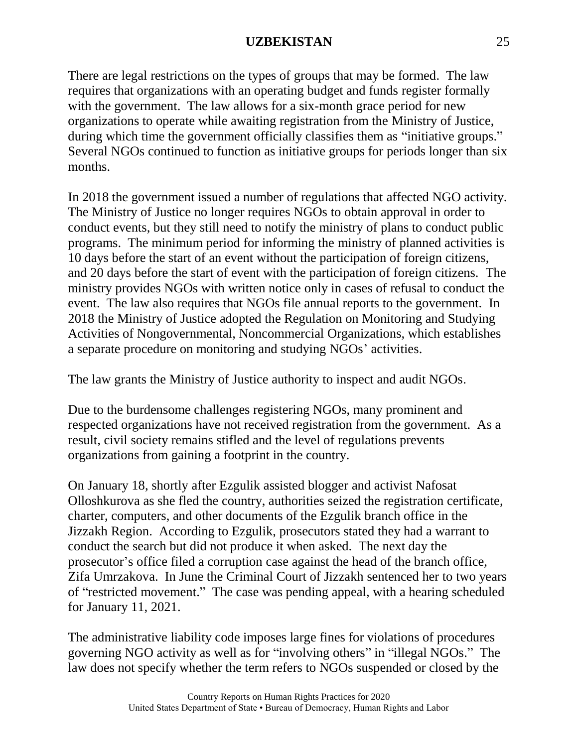There are legal restrictions on the types of groups that may be formed. The law requires that organizations with an operating budget and funds register formally with the government. The law allows for a six-month grace period for new organizations to operate while awaiting registration from the Ministry of Justice, during which time the government officially classifies them as "initiative groups." Several NGOs continued to function as initiative groups for periods longer than six months.

In 2018 the government issued a number of regulations that affected NGO activity. The Ministry of Justice no longer requires NGOs to obtain approval in order to conduct events, but they still need to notify the ministry of plans to conduct public programs. The minimum period for informing the ministry of planned activities is 10 days before the start of an event without the participation of foreign citizens, and 20 days before the start of event with the participation of foreign citizens. The ministry provides NGOs with written notice only in cases of refusal to conduct the event. The law also requires that NGOs file annual reports to the government. In 2018 the Ministry of Justice adopted the Regulation on Monitoring and Studying Activities of Nongovernmental, Noncommercial Organizations, which establishes a separate procedure on monitoring and studying NGOs' activities.

The law grants the Ministry of Justice authority to inspect and audit NGOs.

Due to the burdensome challenges registering NGOs, many prominent and respected organizations have not received registration from the government. As a result, civil society remains stifled and the level of regulations prevents organizations from gaining a footprint in the country.

On January 18, shortly after Ezgulik assisted blogger and activist Nafosat Olloshkurova as she fled the country, authorities seized the registration certificate, charter, computers, and other documents of the Ezgulik branch office in the Jizzakh Region. According to Ezgulik, prosecutors stated they had a warrant to conduct the search but did not produce it when asked. The next day the prosecutor's office filed a corruption case against the head of the branch office, Zifa Umrzakova. In June the Criminal Court of Jizzakh sentenced her to two years of "restricted movement." The case was pending appeal, with a hearing scheduled for January 11, 2021.

The administrative liability code imposes large fines for violations of procedures governing NGO activity as well as for "involving others" in "illegal NGOs." The law does not specify whether the term refers to NGOs suspended or closed by the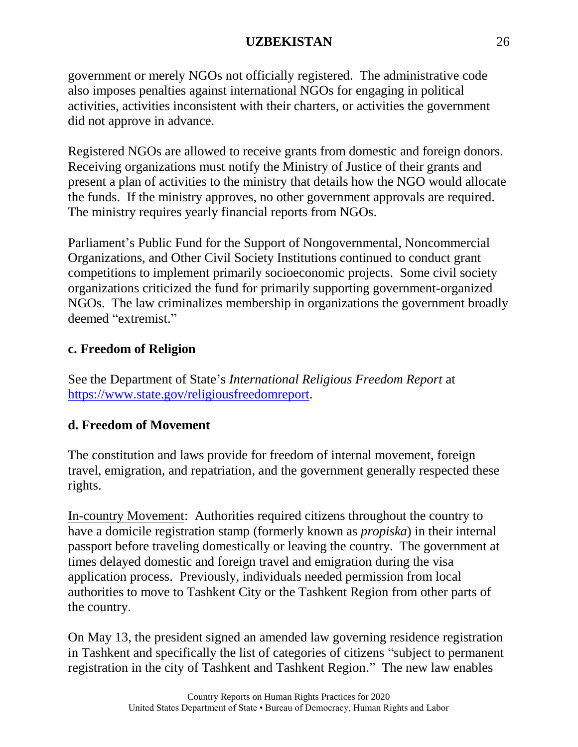government or merely NGOs not officially registered. The administrative code also imposes penalties against international NGOs for engaging in political activities, activities inconsistent with their charters, or activities the government did not approve in advance.

Registered NGOs are allowed to receive grants from domestic and foreign donors. Receiving organizations must notify the Ministry of Justice of their grants and present a plan of activities to the ministry that details how the NGO would allocate the funds. If the ministry approves, no other government approvals are required. The ministry requires yearly financial reports from NGOs.

Parliament's Public Fund for the Support of Nongovernmental, Noncommercial Organizations, and Other Civil Society Institutions continued to conduct grant competitions to implement primarily socioeconomic projects. Some civil society organizations criticized the fund for primarily supporting government-organized NGOs. The law criminalizes membership in organizations the government broadly deemed "extremist."

# **c. Freedom of Religion**

See the Department of State's *International Religious Freedom Report* at [https://www.state.gov/religiousfreedomreport.](https://www.state.gov/religiousfreedomreport/)

# **d. Freedom of Movement**

The constitution and laws provide for freedom of internal movement, foreign travel, emigration, and repatriation, and the government generally respected these rights.

In-country Movement: Authorities required citizens throughout the country to have a domicile registration stamp (formerly known as *propiska*) in their internal passport before traveling domestically or leaving the country. The government at times delayed domestic and foreign travel and emigration during the visa application process. Previously, individuals needed permission from local authorities to move to Tashkent City or the Tashkent Region from other parts of the country.

On May 13, the president signed an amended law governing residence registration in Tashkent and specifically the list of categories of citizens "subject to permanent registration in the city of Tashkent and Tashkent Region." The new law enables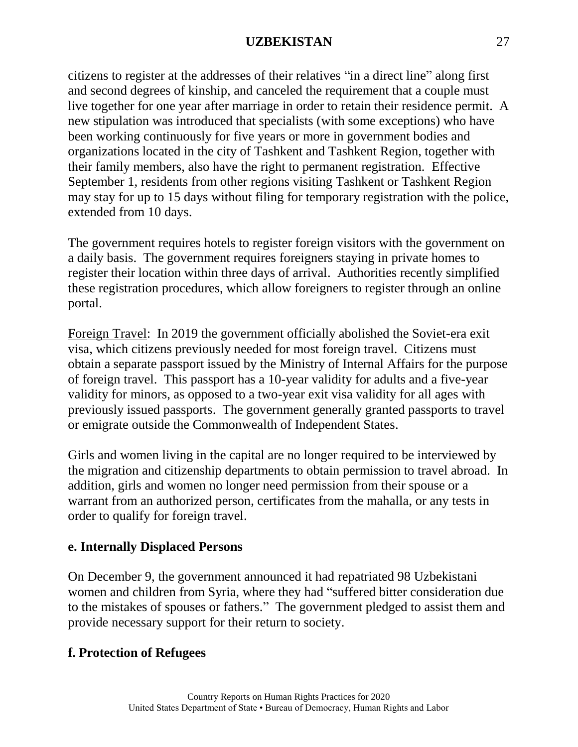citizens to register at the addresses of their relatives "in a direct line" along first and second degrees of kinship, and canceled the requirement that a couple must live together for one year after marriage in order to retain their residence permit. A new stipulation was introduced that specialists (with some exceptions) who have been working continuously for five years or more in government bodies and organizations located in the city of Tashkent and Tashkent Region, together with their family members, also have the right to permanent registration. Effective September 1, residents from other regions visiting Tashkent or Tashkent Region may stay for up to 15 days without filing for temporary registration with the police, extended from 10 days.

The government requires hotels to register foreign visitors with the government on a daily basis. The government requires foreigners staying in private homes to register their location within three days of arrival. Authorities recently simplified these registration procedures, which allow foreigners to register through an online portal.

Foreign Travel: In 2019 the government officially abolished the Soviet-era exit visa, which citizens previously needed for most foreign travel. Citizens must obtain a separate passport issued by the Ministry of Internal Affairs for the purpose of foreign travel. This passport has a 10-year validity for adults and a five-year validity for minors, as opposed to a two-year exit visa validity for all ages with previously issued passports. The government generally granted passports to travel or emigrate outside the Commonwealth of Independent States.

Girls and women living in the capital are no longer required to be interviewed by the migration and citizenship departments to obtain permission to travel abroad. In addition, girls and women no longer need permission from their spouse or a warrant from an authorized person, certificates from the mahalla, or any tests in order to qualify for foreign travel.

# **e. Internally Displaced Persons**

On December 9, the government announced it had repatriated 98 Uzbekistani women and children from Syria, where they had "suffered bitter consideration due to the mistakes of spouses or fathers." The government pledged to assist them and provide necessary support for their return to society.

# **f. Protection of Refugees**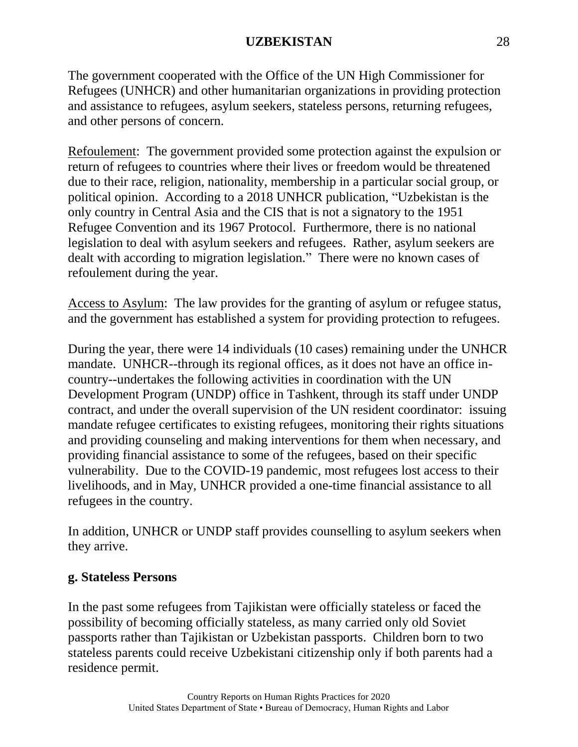The government cooperated with the Office of the UN High Commissioner for Refugees (UNHCR) and other humanitarian organizations in providing protection and assistance to refugees, asylum seekers, stateless persons, returning refugees, and other persons of concern.

Refoulement: The government provided some protection against the expulsion or return of refugees to countries where their lives or freedom would be threatened due to their race, religion, nationality, membership in a particular social group, or political opinion. According to a 2018 UNHCR publication, "Uzbekistan is the only country in Central Asia and the CIS that is not a signatory to the 1951 Refugee Convention and its 1967 Protocol. Furthermore, there is no national legislation to deal with asylum seekers and refugees. Rather, asylum seekers are dealt with according to migration legislation." There were no known cases of refoulement during the year.

Access to Asylum: The law provides for the granting of asylum or refugee status, and the government has established a system for providing protection to refugees.

During the year, there were 14 individuals (10 cases) remaining under the UNHCR mandate. UNHCR--through its regional offices, as it does not have an office incountry--undertakes the following activities in coordination with the UN Development Program (UNDP) office in Tashkent, through its staff under UNDP contract, and under the overall supervision of the UN resident coordinator: issuing mandate refugee certificates to existing refugees, monitoring their rights situations and providing counseling and making interventions for them when necessary, and providing financial assistance to some of the refugees, based on their specific vulnerability. Due to the COVID-19 pandemic, most refugees lost access to their livelihoods, and in May, UNHCR provided a one-time financial assistance to all refugees in the country.

In addition, UNHCR or UNDP staff provides counselling to asylum seekers when they arrive.

# **g. Stateless Persons**

In the past some refugees from Tajikistan were officially stateless or faced the possibility of becoming officially stateless, as many carried only old Soviet passports rather than Tajikistan or Uzbekistan passports. Children born to two stateless parents could receive Uzbekistani citizenship only if both parents had a residence permit.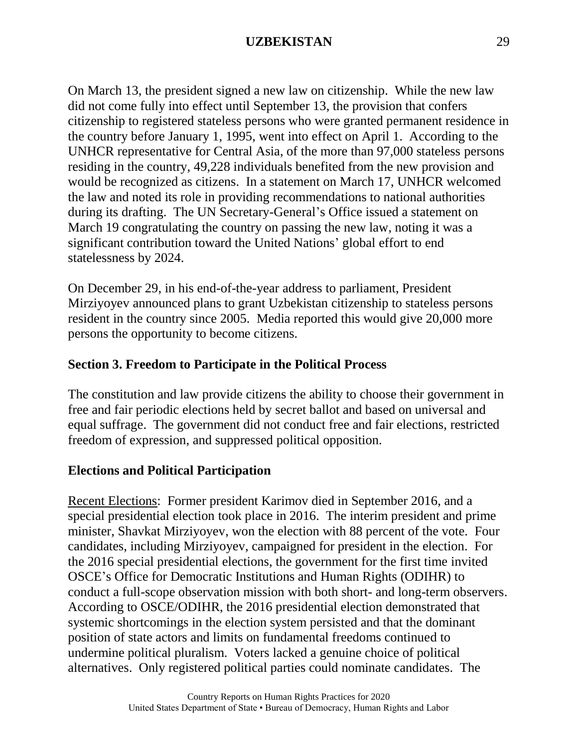On March 13, the president signed a new law on citizenship. While the new law did not come fully into effect until September 13, the provision that confers citizenship to registered stateless persons who were granted permanent residence in the country before January 1, 1995, went into effect on April 1. According to the UNHCR representative for Central Asia, of the more than 97,000 stateless persons residing in the country, 49,228 individuals benefited from the new provision and would be recognized as citizens. In a statement on March 17, UNHCR welcomed the law and noted its role in providing recommendations to national authorities during its drafting. The UN Secretary-General's Office issued a statement on March 19 congratulating the country on passing the new law, noting it was a significant contribution toward the United Nations' global effort to end statelessness by 2024.

On December 29, in his end-of-the-year address to parliament, President Mirziyoyev announced plans to grant Uzbekistan citizenship to stateless persons resident in the country since 2005. Media reported this would give 20,000 more persons the opportunity to become citizens.

### **Section 3. Freedom to Participate in the Political Process**

The constitution and law provide citizens the ability to choose their government in free and fair periodic elections held by secret ballot and based on universal and equal suffrage. The government did not conduct free and fair elections, restricted freedom of expression, and suppressed political opposition.

#### **Elections and Political Participation**

Recent Elections: Former president Karimov died in September 2016, and a special presidential election took place in 2016. The interim president and prime minister, Shavkat Mirziyoyev, won the election with 88 percent of the vote. Four candidates, including Mirziyoyev, campaigned for president in the election. For the 2016 special presidential elections, the government for the first time invited OSCE's Office for Democratic Institutions and Human Rights (ODIHR) to conduct a full-scope observation mission with both short- and long-term observers. According to OSCE/ODIHR, the 2016 presidential election demonstrated that systemic shortcomings in the election system persisted and that the dominant position of state actors and limits on fundamental freedoms continued to undermine political pluralism. Voters lacked a genuine choice of political alternatives. Only registered political parties could nominate candidates. The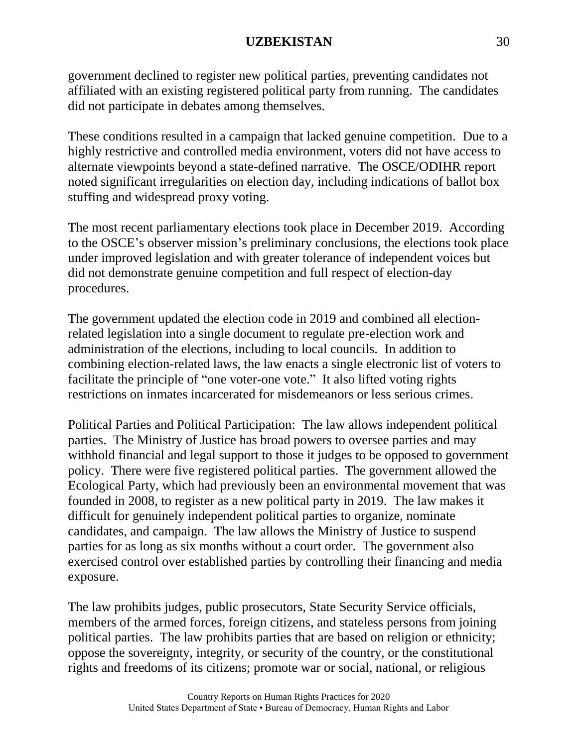government declined to register new political parties, preventing candidates not affiliated with an existing registered political party from running. The candidates did not participate in debates among themselves.

These conditions resulted in a campaign that lacked genuine competition. Due to a highly restrictive and controlled media environment, voters did not have access to alternate viewpoints beyond a state-defined narrative. The OSCE/ODIHR report noted significant irregularities on election day, including indications of ballot box stuffing and widespread proxy voting.

The most recent parliamentary elections took place in December 2019. According to the OSCE's observer mission's preliminary conclusions, the elections took place under improved legislation and with greater tolerance of independent voices but did not demonstrate genuine competition and full respect of election-day procedures.

The government updated the election code in 2019 and combined all electionrelated legislation into a single document to regulate pre-election work and administration of the elections, including to local councils. In addition to combining election-related laws, the law enacts a single electronic list of voters to facilitate the principle of "one voter-one vote." It also lifted voting rights restrictions on inmates incarcerated for misdemeanors or less serious crimes.

Political Parties and Political Participation: The law allows independent political parties. The Ministry of Justice has broad powers to oversee parties and may withhold financial and legal support to those it judges to be opposed to government policy. There were five registered political parties. The government allowed the Ecological Party, which had previously been an environmental movement that was founded in 2008, to register as a new political party in 2019. The law makes it difficult for genuinely independent political parties to organize, nominate candidates, and campaign. The law allows the Ministry of Justice to suspend parties for as long as six months without a court order. The government also exercised control over established parties by controlling their financing and media exposure.

The law prohibits judges, public prosecutors, State Security Service officials, members of the armed forces, foreign citizens, and stateless persons from joining political parties. The law prohibits parties that are based on religion or ethnicity; oppose the sovereignty, integrity, or security of the country, or the constitutional rights and freedoms of its citizens; promote war or social, national, or religious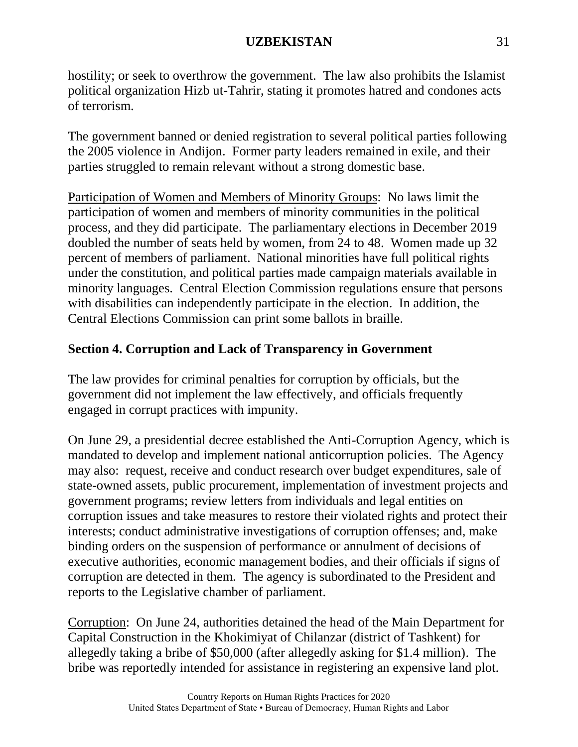hostility; or seek to overthrow the government. The law also prohibits the Islamist political organization Hizb ut-Tahrir, stating it promotes hatred and condones acts of terrorism.

The government banned or denied registration to several political parties following the 2005 violence in Andijon. Former party leaders remained in exile, and their parties struggled to remain relevant without a strong domestic base.

Participation of Women and Members of Minority Groups: No laws limit the participation of women and members of minority communities in the political process, and they did participate. The parliamentary elections in December 2019 doubled the number of seats held by women, from 24 to 48. Women made up 32 percent of members of parliament. National minorities have full political rights under the constitution, and political parties made campaign materials available in minority languages. Central Election Commission regulations ensure that persons with disabilities can independently participate in the election. In addition, the Central Elections Commission can print some ballots in braille.

# **Section 4. Corruption and Lack of Transparency in Government**

The law provides for criminal penalties for corruption by officials, but the government did not implement the law effectively, and officials frequently engaged in corrupt practices with impunity.

On June 29, a presidential decree established the Anti-Corruption Agency, which is mandated to develop and implement national anticorruption policies. The Agency may also: request, receive and conduct research over budget expenditures, sale of state-owned assets, public procurement, implementation of investment projects and government programs; review letters from individuals and legal entities on corruption issues and take measures to restore their violated rights and protect their interests; conduct administrative investigations of corruption offenses; and, make binding orders on the suspension of performance or annulment of decisions of executive authorities, economic management bodies, and their officials if signs of corruption are detected in them. The agency is subordinated to the President and reports to the Legislative chamber of parliament.

Corruption: On June 24, authorities detained the head of the Main Department for Capital Construction in the Khokimiyat of Chilanzar (district of Tashkent) for allegedly taking a bribe of \$50,000 (after allegedly asking for \$1.4 million). The bribe was reportedly intended for assistance in registering an expensive land plot.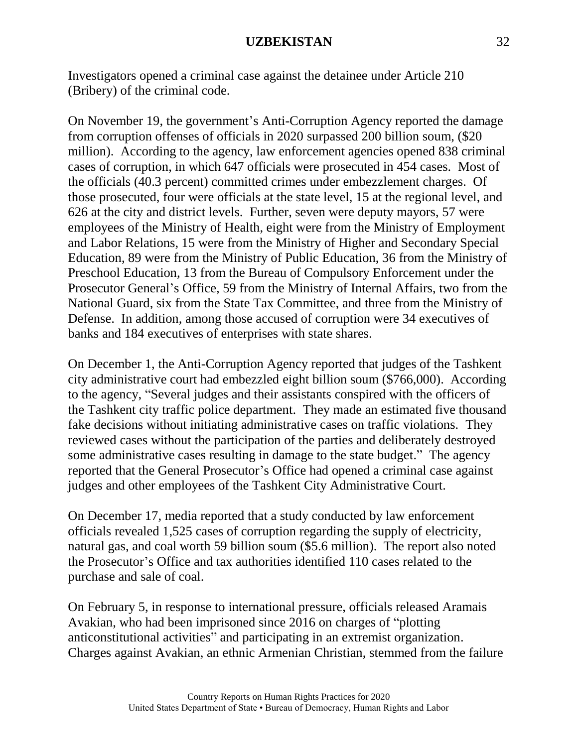Investigators opened a criminal case against the detainee under Article 210 (Bribery) of the criminal code.

On November 19, the government's Anti-Corruption Agency reported the damage from corruption offenses of officials in 2020 surpassed 200 billion soum, (\$20 million). According to the agency, law enforcement agencies opened 838 criminal cases of corruption, in which 647 officials were prosecuted in 454 cases. Most of the officials (40.3 percent) committed crimes under embezzlement charges. Of those prosecuted, four were officials at the state level, 15 at the regional level, and 626 at the city and district levels. Further, seven were deputy mayors, 57 were employees of the Ministry of Health, eight were from the Ministry of Employment and Labor Relations, 15 were from the Ministry of Higher and Secondary Special Education, 89 were from the Ministry of Public Education, 36 from the Ministry of Preschool Education, 13 from the Bureau of Compulsory Enforcement under the Prosecutor General's Office, 59 from the Ministry of Internal Affairs, two from the National Guard, six from the State Tax Committee, and three from the Ministry of Defense. In addition, among those accused of corruption were 34 executives of banks and 184 executives of enterprises with state shares.

On December 1, the Anti-Corruption Agency reported that judges of the Tashkent city administrative court had embezzled eight billion soum (\$766,000). According to the agency, "Several judges and their assistants conspired with the officers of the Tashkent city traffic police department. They made an estimated five thousand fake decisions without initiating administrative cases on traffic violations. They reviewed cases without the participation of the parties and deliberately destroyed some administrative cases resulting in damage to the state budget." The agency reported that the General Prosecutor's Office had opened a criminal case against judges and other employees of the Tashkent City Administrative Court.

On December 17, media reported that a study conducted by law enforcement officials revealed 1,525 cases of corruption regarding the supply of electricity, natural gas, and coal worth 59 billion soum (\$5.6 million). The report also noted the Prosecutor's Office and tax authorities identified 110 cases related to the purchase and sale of coal.

On February 5, in response to international pressure, officials released Aramais Avakian, who had been imprisoned since 2016 on charges of "plotting anticonstitutional activities" and participating in an extremist organization. Charges against Avakian, an ethnic Armenian Christian, stemmed from the failure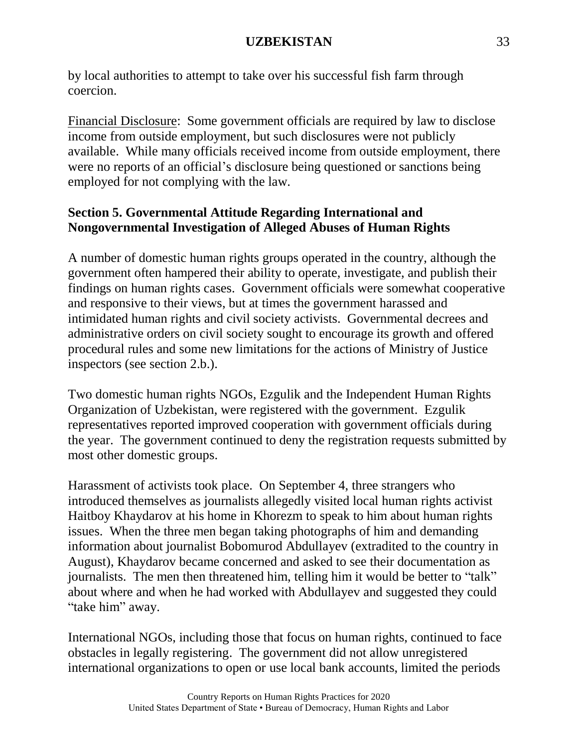by local authorities to attempt to take over his successful fish farm through coercion.

Financial Disclosure: Some government officials are required by law to disclose income from outside employment, but such disclosures were not publicly available. While many officials received income from outside employment, there were no reports of an official's disclosure being questioned or sanctions being employed for not complying with the law.

# **Section 5. Governmental Attitude Regarding International and Nongovernmental Investigation of Alleged Abuses of Human Rights**

A number of domestic human rights groups operated in the country, although the government often hampered their ability to operate, investigate, and publish their findings on human rights cases. Government officials were somewhat cooperative and responsive to their views, but at times the government harassed and intimidated human rights and civil society activists. Governmental decrees and administrative orders on civil society sought to encourage its growth and offered procedural rules and some new limitations for the actions of Ministry of Justice inspectors (see section 2.b.).

Two domestic human rights NGOs, Ezgulik and the Independent Human Rights Organization of Uzbekistan, were registered with the government. Ezgulik representatives reported improved cooperation with government officials during the year. The government continued to deny the registration requests submitted by most other domestic groups.

Harassment of activists took place. On September 4, three strangers who introduced themselves as journalists allegedly visited local human rights activist Haitboy Khaydarov at his home in Khorezm to speak to him about human rights issues. When the three men began taking photographs of him and demanding information about journalist Bobomurod Abdullayev (extradited to the country in August), Khaydarov became concerned and asked to see their documentation as journalists. The men then threatened him, telling him it would be better to "talk" about where and when he had worked with Abdullayev and suggested they could "take him" away.

International NGOs, including those that focus on human rights, continued to face obstacles in legally registering. The government did not allow unregistered international organizations to open or use local bank accounts, limited the periods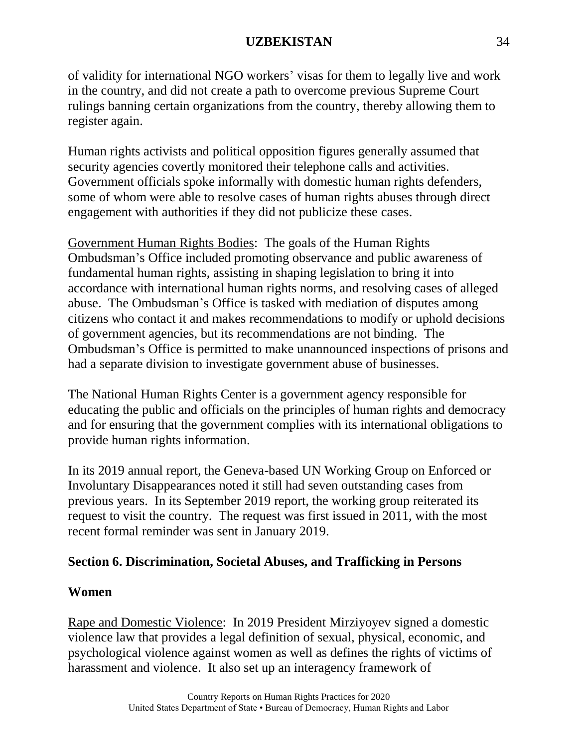of validity for international NGO workers' visas for them to legally live and work in the country, and did not create a path to overcome previous Supreme Court rulings banning certain organizations from the country, thereby allowing them to register again.

Human rights activists and political opposition figures generally assumed that security agencies covertly monitored their telephone calls and activities. Government officials spoke informally with domestic human rights defenders, some of whom were able to resolve cases of human rights abuses through direct engagement with authorities if they did not publicize these cases.

Government Human Rights Bodies: The goals of the Human Rights Ombudsman's Office included promoting observance and public awareness of fundamental human rights, assisting in shaping legislation to bring it into accordance with international human rights norms, and resolving cases of alleged abuse. The Ombudsman's Office is tasked with mediation of disputes among citizens who contact it and makes recommendations to modify or uphold decisions of government agencies, but its recommendations are not binding. The Ombudsman's Office is permitted to make unannounced inspections of prisons and had a separate division to investigate government abuse of businesses.

The National Human Rights Center is a government agency responsible for educating the public and officials on the principles of human rights and democracy and for ensuring that the government complies with its international obligations to provide human rights information.

In its 2019 annual report, the Geneva-based UN Working Group on Enforced or Involuntary Disappearances noted it still had seven outstanding cases from previous years. In its September 2019 report, the working group reiterated its request to visit the country. The request was first issued in 2011, with the most recent formal reminder was sent in January 2019.

# **Section 6. Discrimination, Societal Abuses, and Trafficking in Persons**

# **Women**

Rape and Domestic Violence: In 2019 President Mirziyoyev signed a domestic violence law that provides a legal definition of sexual, physical, economic, and psychological violence against women as well as defines the rights of victims of harassment and violence. It also set up an interagency framework of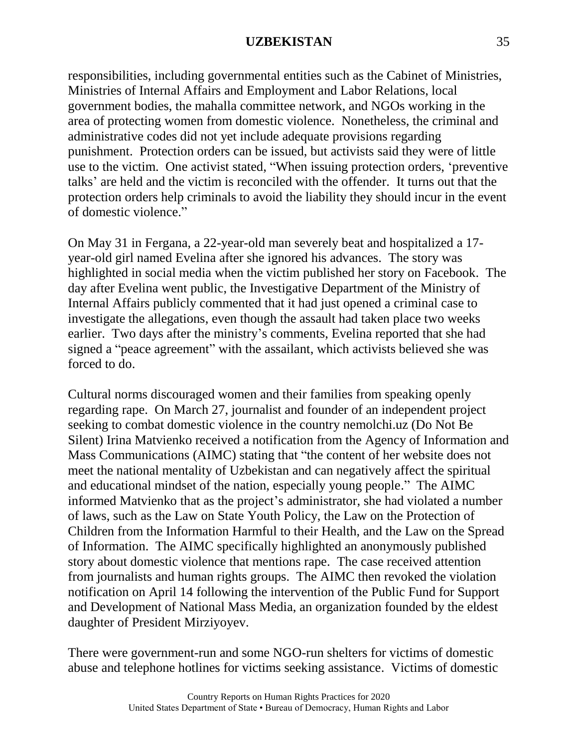responsibilities, including governmental entities such as the Cabinet of Ministries, Ministries of Internal Affairs and Employment and Labor Relations, local government bodies, the mahalla committee network, and NGOs working in the area of protecting women from domestic violence. Nonetheless, the criminal and administrative codes did not yet include adequate provisions regarding punishment. Protection orders can be issued, but activists said they were of little use to the victim. One activist stated, "When issuing protection orders, 'preventive talks' are held and the victim is reconciled with the offender. It turns out that the protection orders help criminals to avoid the liability they should incur in the event of domestic violence."

On May 31 in Fergana, a 22-year-old man severely beat and hospitalized a 17 year-old girl named Evelina after she ignored his advances. The story was highlighted in social media when the victim published her story on Facebook. The day after Evelina went public, the Investigative Department of the Ministry of Internal Affairs publicly commented that it had just opened a criminal case to investigate the allegations, even though the assault had taken place two weeks earlier. Two days after the ministry's comments, Evelina reported that she had signed a "peace agreement" with the assailant, which activists believed she was forced to do.

Cultural norms discouraged women and their families from speaking openly regarding rape. On March 27, journalist and founder of an independent project seeking to combat domestic violence in the country nemolchi.uz (Do Not Be Silent) Irina Matvienko received a notification from the Agency of Information and Mass Communications (AIMC) stating that "the content of her website does not meet the national mentality of Uzbekistan and can negatively affect the spiritual and educational mindset of the nation, especially young people." The AIMC informed Matvienko that as the project's administrator, she had violated a number of laws, such as the Law on State Youth Policy, the Law on the Protection of Children from the Information Harmful to their Health, and the Law on the Spread of Information. The AIMC specifically highlighted an anonymously published story about domestic violence that mentions rape. The case received attention from journalists and human rights groups. The AIMC then revoked the violation notification on April 14 following the intervention of the Public Fund for Support and Development of National Mass Media, an organization founded by the eldest daughter of President Mirziyoyev.

There were government-run and some NGO-run shelters for victims of domestic abuse and telephone hotlines for victims seeking assistance. Victims of domestic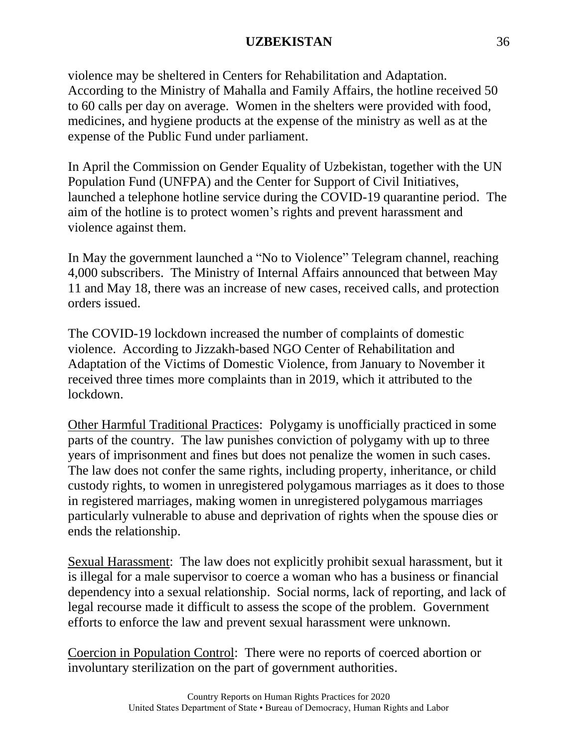violence may be sheltered in Centers for Rehabilitation and Adaptation. According to the Ministry of Mahalla and Family Affairs, the hotline received 50 to 60 calls per day on average. Women in the shelters were provided with food, medicines, and hygiene products at the expense of the ministry as well as at the expense of the Public Fund under parliament.

In April the Commission on Gender Equality of Uzbekistan, together with the UN Population Fund (UNFPA) and the Center for Support of Civil Initiatives, launched a telephone hotline service during the COVID-19 quarantine period. The aim of the hotline is to protect women's rights and prevent harassment and violence against them.

In May the government launched a "No to Violence" Telegram channel, reaching 4,000 subscribers. The Ministry of Internal Affairs announced that between May 11 and May 18, there was an increase of new cases, received calls, and protection orders issued.

The COVID-19 lockdown increased the number of complaints of domestic violence. According to Jizzakh-based NGO Center of Rehabilitation and Adaptation of the Victims of Domestic Violence, from January to November it received three times more complaints than in 2019, which it attributed to the lockdown.

Other Harmful Traditional Practices: Polygamy is unofficially practiced in some parts of the country. The law punishes conviction of polygamy with up to three years of imprisonment and fines but does not penalize the women in such cases. The law does not confer the same rights, including property, inheritance, or child custody rights, to women in unregistered polygamous marriages as it does to those in registered marriages, making women in unregistered polygamous marriages particularly vulnerable to abuse and deprivation of rights when the spouse dies or ends the relationship.

Sexual Harassment: The law does not explicitly prohibit sexual harassment, but it is illegal for a male supervisor to coerce a woman who has a business or financial dependency into a sexual relationship. Social norms, lack of reporting, and lack of legal recourse made it difficult to assess the scope of the problem. Government efforts to enforce the law and prevent sexual harassment were unknown.

Coercion in Population Control: There were no reports of coerced abortion or involuntary sterilization on the part of government authorities.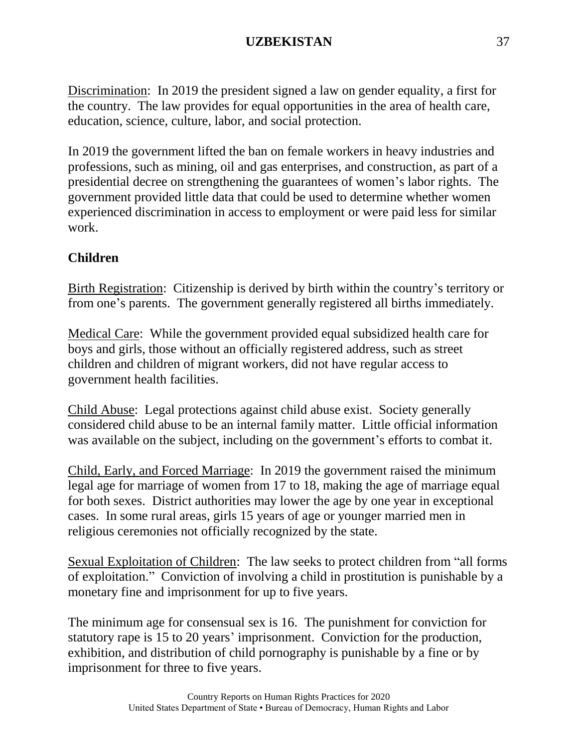Discrimination: In 2019 the president signed a law on gender equality, a first for the country. The law provides for equal opportunities in the area of health care, education, science, culture, labor, and social protection.

In 2019 the government lifted the ban on female workers in heavy industries and professions, such as mining, oil and gas enterprises, and construction, as part of a presidential decree on strengthening the guarantees of women's labor rights. The government provided little data that could be used to determine whether women experienced discrimination in access to employment or were paid less for similar work.

# **Children**

Birth Registration: Citizenship is derived by birth within the country's territory or from one's parents. The government generally registered all births immediately.

Medical Care: While the government provided equal subsidized health care for boys and girls, those without an officially registered address, such as street children and children of migrant workers, did not have regular access to government health facilities.

Child Abuse: Legal protections against child abuse exist. Society generally considered child abuse to be an internal family matter. Little official information was available on the subject, including on the government's efforts to combat it.

Child, Early, and Forced Marriage: In 2019 the government raised the minimum legal age for marriage of women from 17 to 18, making the age of marriage equal for both sexes. District authorities may lower the age by one year in exceptional cases. In some rural areas, girls 15 years of age or younger married men in religious ceremonies not officially recognized by the state.

Sexual Exploitation of Children: The law seeks to protect children from "all forms of exploitation." Conviction of involving a child in prostitution is punishable by a monetary fine and imprisonment for up to five years.

The minimum age for consensual sex is 16. The punishment for conviction for statutory rape is 15 to 20 years' imprisonment. Conviction for the production, exhibition, and distribution of child pornography is punishable by a fine or by imprisonment for three to five years.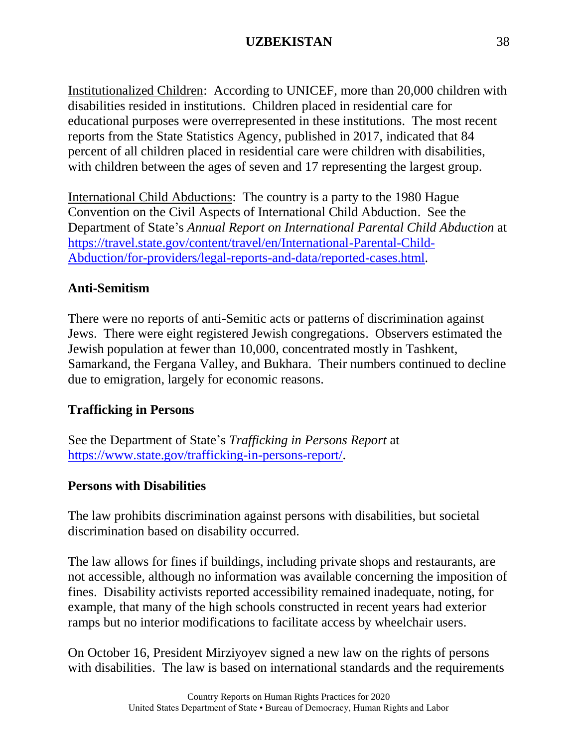Institutionalized Children: According to UNICEF, more than 20,000 children with disabilities resided in institutions. Children placed in residential care for educational purposes were overrepresented in these institutions. The most recent reports from the State Statistics Agency, published in 2017, indicated that 84 percent of all children placed in residential care were children with disabilities, with children between the ages of seven and 17 representing the largest group.

International Child Abductions: The country is a party to the 1980 Hague Convention on the Civil Aspects of International Child Abduction. See the Department of State's *Annual Report on International Parental Child Abduction* at [https://travel.state.gov/content/travel/en/International-Parental-Child-](https://travel.state.gov/content/travel/en/International-Parental-Child-Abduction/for-providers/legal-reports-and-data/reported-cases.html)[Abduction/for-providers/legal-reports-and-data/reported-cases.html.](https://travel.state.gov/content/travel/en/International-Parental-Child-Abduction/for-providers/legal-reports-and-data/reported-cases.html)

# **Anti-Semitism**

There were no reports of anti-Semitic acts or patterns of discrimination against Jews. There were eight registered Jewish congregations. Observers estimated the Jewish population at fewer than 10,000, concentrated mostly in Tashkent, Samarkand, the Fergana Valley, and Bukhara. Their numbers continued to decline due to emigration, largely for economic reasons.

# **Trafficking in Persons**

See the Department of State's *Trafficking in Persons Report* at [https://www.state.gov/trafficking-in-persons-report/.](https://www.state.gov/trafficking-in-persons-report/)

#### **Persons with Disabilities**

The law prohibits discrimination against persons with disabilities, but societal discrimination based on disability occurred.

The law allows for fines if buildings, including private shops and restaurants, are not accessible, although no information was available concerning the imposition of fines. Disability activists reported accessibility remained inadequate, noting, for example, that many of the high schools constructed in recent years had exterior ramps but no interior modifications to facilitate access by wheelchair users.

On October 16, President Mirziyoyev signed a new law on the rights of persons with disabilities. The law is based on international standards and the requirements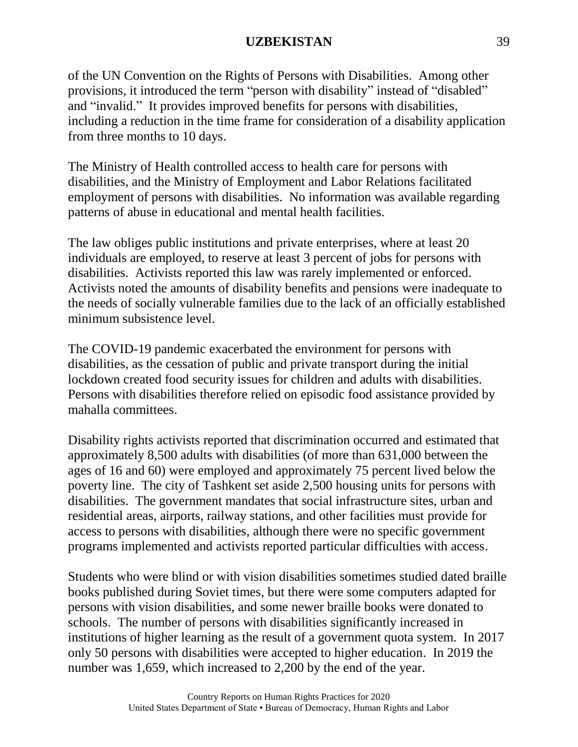of the UN Convention on the Rights of Persons with Disabilities. Among other provisions, it introduced the term "person with disability" instead of "disabled" and "invalid." It provides improved benefits for persons with disabilities, including a reduction in the time frame for consideration of a disability application from three months to 10 days.

The Ministry of Health controlled access to health care for persons with disabilities, and the Ministry of Employment and Labor Relations facilitated employment of persons with disabilities. No information was available regarding patterns of abuse in educational and mental health facilities.

The law obliges public institutions and private enterprises, where at least 20 individuals are employed, to reserve at least 3 percent of jobs for persons with disabilities. Activists reported this law was rarely implemented or enforced. Activists noted the amounts of disability benefits and pensions were inadequate to the needs of socially vulnerable families due to the lack of an officially established minimum subsistence level.

The COVID-19 pandemic exacerbated the environment for persons with disabilities, as the cessation of public and private transport during the initial lockdown created food security issues for children and adults with disabilities. Persons with disabilities therefore relied on episodic food assistance provided by mahalla committees.

Disability rights activists reported that discrimination occurred and estimated that approximately 8,500 adults with disabilities (of more than 631,000 between the ages of 16 and 60) were employed and approximately 75 percent lived below the poverty line. The city of Tashkent set aside 2,500 housing units for persons with disabilities. The government mandates that social infrastructure sites, urban and residential areas, airports, railway stations, and other facilities must provide for access to persons with disabilities, although there were no specific government programs implemented and activists reported particular difficulties with access.

Students who were blind or with vision disabilities sometimes studied dated braille books published during Soviet times, but there were some computers adapted for persons with vision disabilities, and some newer braille books were donated to schools. The number of persons with disabilities significantly increased in institutions of higher learning as the result of a government quota system. In 2017 only 50 persons with disabilities were accepted to higher education. In 2019 the number was 1,659, which increased to 2,200 by the end of the year.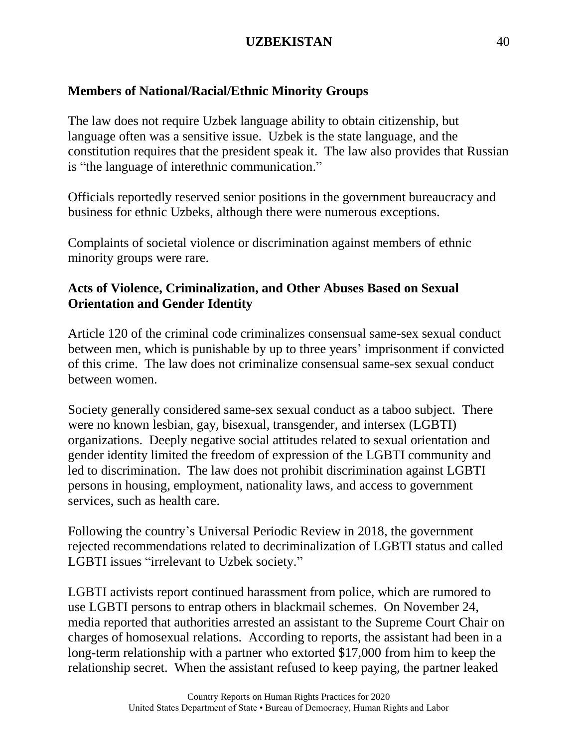# **Members of National/Racial/Ethnic Minority Groups**

The law does not require Uzbek language ability to obtain citizenship, but language often was a sensitive issue. Uzbek is the state language, and the constitution requires that the president speak it. The law also provides that Russian is "the language of interethnic communication."

Officials reportedly reserved senior positions in the government bureaucracy and business for ethnic Uzbeks, although there were numerous exceptions.

Complaints of societal violence or discrimination against members of ethnic minority groups were rare.

# **Acts of Violence, Criminalization, and Other Abuses Based on Sexual Orientation and Gender Identity**

Article 120 of the criminal code criminalizes consensual same-sex sexual conduct between men, which is punishable by up to three years' imprisonment if convicted of this crime. The law does not criminalize consensual same-sex sexual conduct between women.

Society generally considered same-sex sexual conduct as a taboo subject. There were no known lesbian, gay, bisexual, transgender, and intersex (LGBTI) organizations. Deeply negative social attitudes related to sexual orientation and gender identity limited the freedom of expression of the LGBTI community and led to discrimination. The law does not prohibit discrimination against LGBTI persons in housing, employment, nationality laws, and access to government services, such as health care.

Following the country's Universal Periodic Review in 2018, the government rejected recommendations related to decriminalization of LGBTI status and called LGBTI issues "irrelevant to Uzbek society."

LGBTI activists report continued harassment from police, which are rumored to use LGBTI persons to entrap others in blackmail schemes. On November 24, media reported that authorities arrested an assistant to the Supreme Court Chair on charges of homosexual relations. According to reports, the assistant had been in a long-term relationship with a partner who extorted \$17,000 from him to keep the relationship secret. When the assistant refused to keep paying, the partner leaked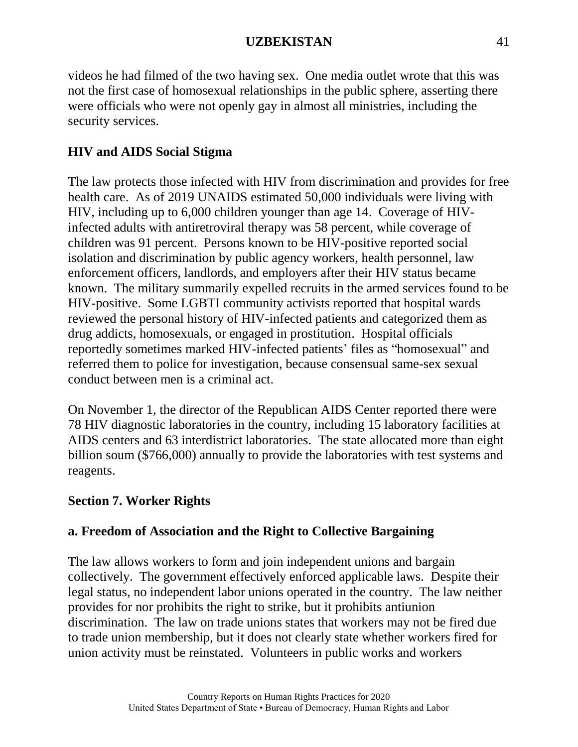videos he had filmed of the two having sex. One media outlet wrote that this was not the first case of homosexual relationships in the public sphere, asserting there were officials who were not openly gay in almost all ministries, including the security services.

# **HIV and AIDS Social Stigma**

The law protects those infected with HIV from discrimination and provides for free health care. As of 2019 UNAIDS estimated 50,000 individuals were living with HIV, including up to 6,000 children younger than age 14. Coverage of HIVinfected adults with antiretroviral therapy was 58 percent, while coverage of children was 91 percent. Persons known to be HIV-positive reported social isolation and discrimination by public agency workers, health personnel, law enforcement officers, landlords, and employers after their HIV status became known. The military summarily expelled recruits in the armed services found to be HIV-positive. Some LGBTI community activists reported that hospital wards reviewed the personal history of HIV-infected patients and categorized them as drug addicts, homosexuals, or engaged in prostitution. Hospital officials reportedly sometimes marked HIV-infected patients' files as "homosexual" and referred them to police for investigation, because consensual same-sex sexual conduct between men is a criminal act.

On November 1, the director of the Republican AIDS Center reported there were 78 HIV diagnostic laboratories in the country, including 15 laboratory facilities at AIDS centers and 63 interdistrict laboratories. The state allocated more than eight billion soum (\$766,000) annually to provide the laboratories with test systems and reagents.

# **Section 7. Worker Rights**

# **a. Freedom of Association and the Right to Collective Bargaining**

The law allows workers to form and join independent unions and bargain collectively. The government effectively enforced applicable laws. Despite their legal status, no independent labor unions operated in the country. The law neither provides for nor prohibits the right to strike, but it prohibits antiunion discrimination. The law on trade unions states that workers may not be fired due to trade union membership, but it does not clearly state whether workers fired for union activity must be reinstated. Volunteers in public works and workers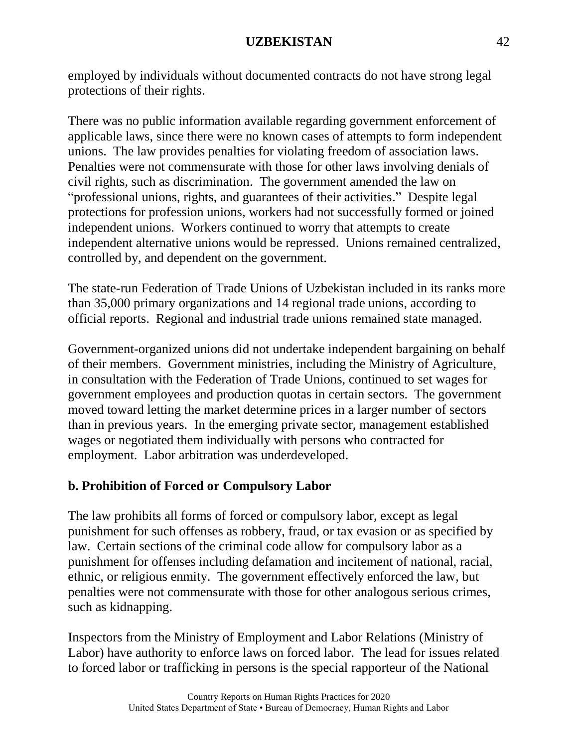employed by individuals without documented contracts do not have strong legal protections of their rights.

There was no public information available regarding government enforcement of applicable laws, since there were no known cases of attempts to form independent unions. The law provides penalties for violating freedom of association laws. Penalties were not commensurate with those for other laws involving denials of civil rights, such as discrimination. The government amended the law on "professional unions, rights, and guarantees of their activities." Despite legal protections for profession unions, workers had not successfully formed or joined independent unions. Workers continued to worry that attempts to create independent alternative unions would be repressed. Unions remained centralized, controlled by, and dependent on the government.

The state-run Federation of Trade Unions of Uzbekistan included in its ranks more than 35,000 primary organizations and 14 regional trade unions, according to official reports. Regional and industrial trade unions remained state managed.

Government-organized unions did not undertake independent bargaining on behalf of their members. Government ministries, including the Ministry of Agriculture, in consultation with the Federation of Trade Unions, continued to set wages for government employees and production quotas in certain sectors. The government moved toward letting the market determine prices in a larger number of sectors than in previous years. In the emerging private sector, management established wages or negotiated them individually with persons who contracted for employment. Labor arbitration was underdeveloped.

# **b. Prohibition of Forced or Compulsory Labor**

The law prohibits all forms of forced or compulsory labor, except as legal punishment for such offenses as robbery, fraud, or tax evasion or as specified by law. Certain sections of the criminal code allow for compulsory labor as a punishment for offenses including defamation and incitement of national, racial, ethnic, or religious enmity. The government effectively enforced the law, but penalties were not commensurate with those for other analogous serious crimes, such as kidnapping.

Inspectors from the Ministry of Employment and Labor Relations (Ministry of Labor) have authority to enforce laws on forced labor. The lead for issues related to forced labor or trafficking in persons is the special rapporteur of the National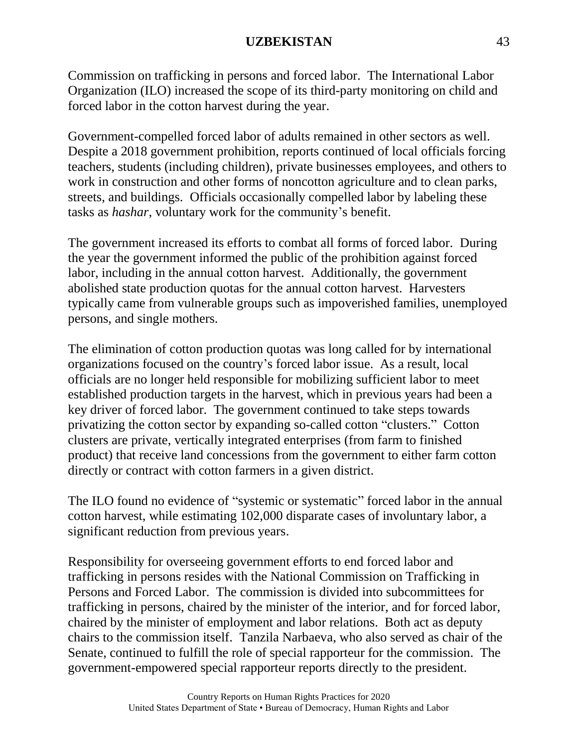Commission on trafficking in persons and forced labor. The International Labor Organization (ILO) increased the scope of its third-party monitoring on child and forced labor in the cotton harvest during the year.

Government-compelled forced labor of adults remained in other sectors as well. Despite a 2018 government prohibition, reports continued of local officials forcing teachers, students (including children), private businesses employees, and others to work in construction and other forms of noncotton agriculture and to clean parks, streets, and buildings. Officials occasionally compelled labor by labeling these tasks as *hashar*, voluntary work for the community's benefit.

The government increased its efforts to combat all forms of forced labor. During the year the government informed the public of the prohibition against forced labor, including in the annual cotton harvest. Additionally, the government abolished state production quotas for the annual cotton harvest. Harvesters typically came from vulnerable groups such as impoverished families, unemployed persons, and single mothers.

The elimination of cotton production quotas was long called for by international organizations focused on the country's forced labor issue. As a result, local officials are no longer held responsible for mobilizing sufficient labor to meet established production targets in the harvest, which in previous years had been a key driver of forced labor. The government continued to take steps towards privatizing the cotton sector by expanding so-called cotton "clusters." Cotton clusters are private, vertically integrated enterprises (from farm to finished product) that receive land concessions from the government to either farm cotton directly or contract with cotton farmers in a given district.

The ILO found no evidence of "systemic or systematic" forced labor in the annual cotton harvest, while estimating 102,000 disparate cases of involuntary labor, a significant reduction from previous years.

Responsibility for overseeing government efforts to end forced labor and trafficking in persons resides with the National Commission on Trafficking in Persons and Forced Labor. The commission is divided into subcommittees for trafficking in persons, chaired by the minister of the interior, and for forced labor, chaired by the minister of employment and labor relations. Both act as deputy chairs to the commission itself. Tanzila Narbaeva, who also served as chair of the Senate, continued to fulfill the role of special rapporteur for the commission. The government-empowered special rapporteur reports directly to the president.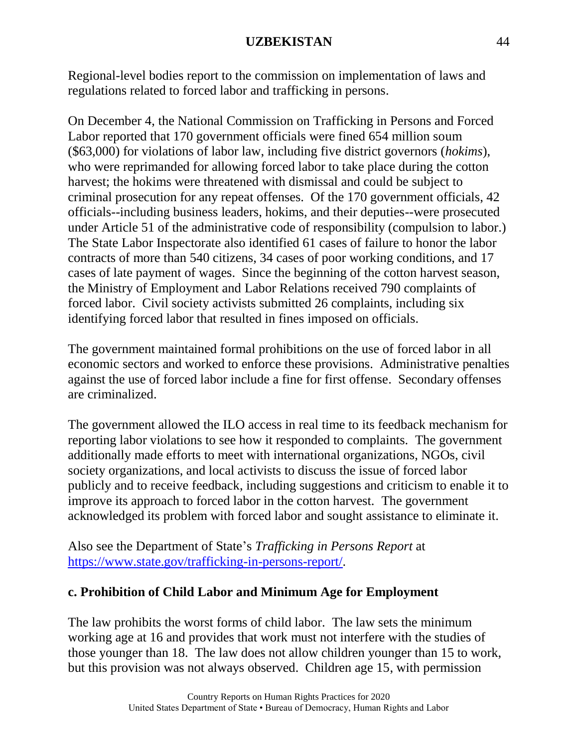Regional-level bodies report to the commission on implementation of laws and regulations related to forced labor and trafficking in persons.

On December 4, the National Commission on Trafficking in Persons and Forced Labor reported that 170 government officials were fined 654 million soum (\$63,000) for violations of labor law, including five district governors (*hokims*), who were reprimanded for allowing forced labor to take place during the cotton harvest; the hokims were threatened with dismissal and could be subject to criminal prosecution for any repeat offenses. Of the 170 government officials, 42 officials--including business leaders, hokims, and their deputies--were prosecuted under Article 51 of the administrative code of responsibility (compulsion to labor.) The State Labor Inspectorate also identified 61 cases of failure to honor the labor contracts of more than 540 citizens, 34 cases of poor working conditions, and 17 cases of late payment of wages. Since the beginning of the cotton harvest season, the Ministry of Employment and Labor Relations received 790 complaints of forced labor. Civil society activists submitted 26 complaints, including six identifying forced labor that resulted in fines imposed on officials.

The government maintained formal prohibitions on the use of forced labor in all economic sectors and worked to enforce these provisions. Administrative penalties against the use of forced labor include a fine for first offense. Secondary offenses are criminalized.

The government allowed the ILO access in real time to its feedback mechanism for reporting labor violations to see how it responded to complaints. The government additionally made efforts to meet with international organizations, NGOs, civil society organizations, and local activists to discuss the issue of forced labor publicly and to receive feedback, including suggestions and criticism to enable it to improve its approach to forced labor in the cotton harvest. The government acknowledged its problem with forced labor and sought assistance to eliminate it.

Also see the Department of State's *Trafficking in Persons Report* at [https://www.state.gov/trafficking-in-persons-report/.](https://www.state.gov/trafficking-in-persons-report/)

# **c. Prohibition of Child Labor and Minimum Age for Employment**

The law prohibits the worst forms of child labor. The law sets the minimum working age at 16 and provides that work must not interfere with the studies of those younger than 18. The law does not allow children younger than 15 to work, but this provision was not always observed. Children age 15, with permission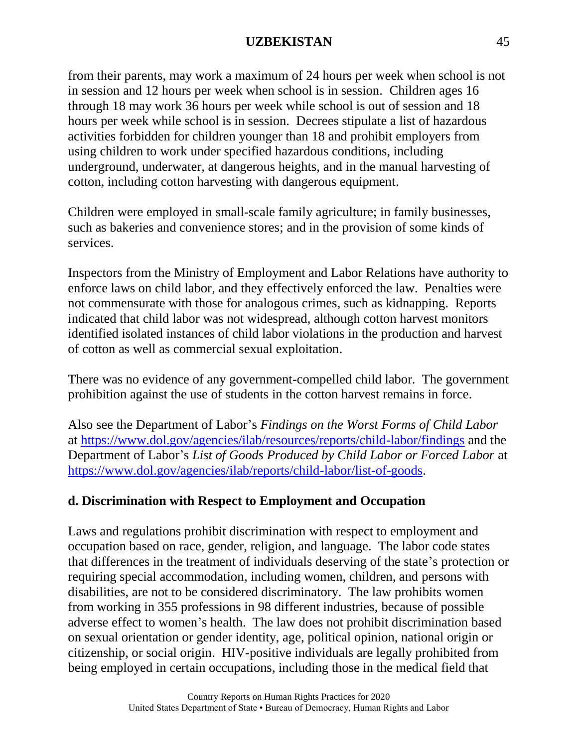from their parents, may work a maximum of 24 hours per week when school is not in session and 12 hours per week when school is in session. Children ages 16 through 18 may work 36 hours per week while school is out of session and 18 hours per week while school is in session. Decrees stipulate a list of hazardous activities forbidden for children younger than 18 and prohibit employers from using children to work under specified hazardous conditions, including underground, underwater, at dangerous heights, and in the manual harvesting of cotton, including cotton harvesting with dangerous equipment.

Children were employed in small-scale family agriculture; in family businesses, such as bakeries and convenience stores; and in the provision of some kinds of services.

Inspectors from the Ministry of Employment and Labor Relations have authority to enforce laws on child labor, and they effectively enforced the law. Penalties were not commensurate with those for analogous crimes, such as kidnapping. Reports indicated that child labor was not widespread, although cotton harvest monitors identified isolated instances of child labor violations in the production and harvest of cotton as well as commercial sexual exploitation.

There was no evidence of any government-compelled child labor. The government prohibition against the use of students in the cotton harvest remains in force.

Also see the Department of Labor's *Findings on the Worst Forms of Child Labor* at <https://www.dol.gov/agencies/ilab/resources/reports/child-labor/findings> and the Department of Labor's *List of Goods Produced by Child Labor or Forced Labor* at [https://www.dol.gov/agencies/ilab/reports/child-labor/list-of-goods.](https://www.dol.gov/agencies/ilab/reports/child-labor/list-of-goods)

# **d. Discrimination with Respect to Employment and Occupation**

Laws and regulations prohibit discrimination with respect to employment and occupation based on race, gender, religion, and language. The labor code states that differences in the treatment of individuals deserving of the state's protection or requiring special accommodation, including women, children, and persons with disabilities, are not to be considered discriminatory. The law prohibits women from working in 355 professions in 98 different industries, because of possible adverse effect to women's health. The law does not prohibit discrimination based on sexual orientation or gender identity, age, political opinion, national origin or citizenship, or social origin. HIV-positive individuals are legally prohibited from being employed in certain occupations, including those in the medical field that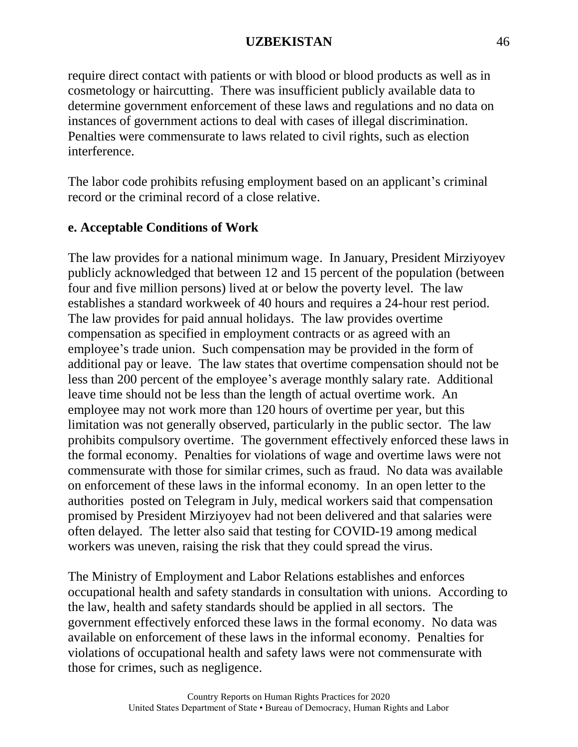require direct contact with patients or with blood or blood products as well as in cosmetology or haircutting. There was insufficient publicly available data to determine government enforcement of these laws and regulations and no data on instances of government actions to deal with cases of illegal discrimination. Penalties were commensurate to laws related to civil rights, such as election interference.

The labor code prohibits refusing employment based on an applicant's criminal record or the criminal record of a close relative.

# **e. Acceptable Conditions of Work**

The law provides for a national minimum wage. In January, President Mirziyoyev publicly acknowledged that between 12 and 15 percent of the population (between four and five million persons) lived at or below the poverty level. The law establishes a standard workweek of 40 hours and requires a 24-hour rest period. The law provides for paid annual holidays. The law provides overtime compensation as specified in employment contracts or as agreed with an employee's trade union. Such compensation may be provided in the form of additional pay or leave. The law states that overtime compensation should not be less than 200 percent of the employee's average monthly salary rate. Additional leave time should not be less than the length of actual overtime work. An employee may not work more than 120 hours of overtime per year, but this limitation was not generally observed, particularly in the public sector. The law prohibits compulsory overtime. The government effectively enforced these laws in the formal economy. Penalties for violations of wage and overtime laws were not commensurate with those for similar crimes, such as fraud. No data was available on enforcement of these laws in the informal economy. In an open letter to the authoritie[s](http://t.me/sizdantelegram/23412) posted on Telegram in July, medical workers said that compensation promised by President Mirziyoyev had not been delivered and that salaries were often delayed. The letter also said that testing for COVID-19 among medical workers was uneven, raising the risk that they could spread the virus.

The Ministry of Employment and Labor Relations establishes and enforces occupational health and safety standards in consultation with unions. According to the law, health and safety standards should be applied in all sectors. The government effectively enforced these laws in the formal economy. No data was available on enforcement of these laws in the informal economy. Penalties for violations of occupational health and safety laws were not commensurate with those for crimes, such as negligence.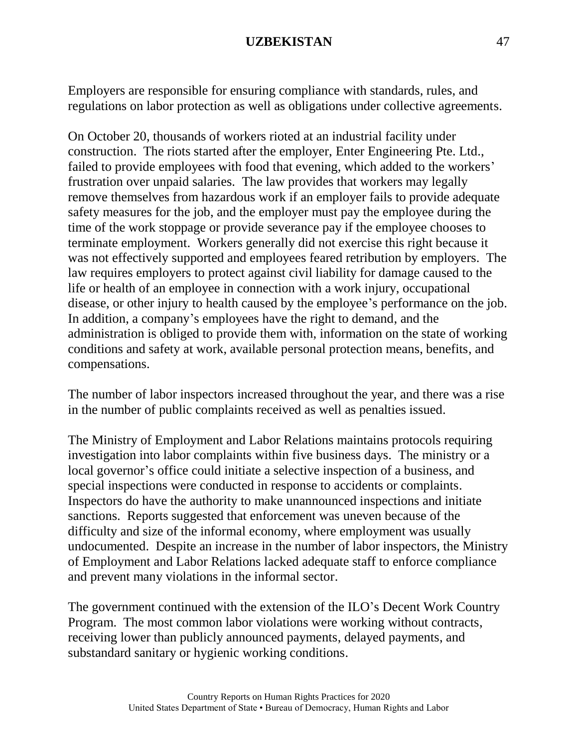Employers are responsible for ensuring compliance with standards, rules, and regulations on labor protection as well as obligations under collective agreements.

On October 20, thousands of workers rioted at an industrial facility under construction. The riots started after the employer, Enter Engineering Pte. Ltd., failed to provide employees with food that evening, which added to the workers' frustration over unpaid salaries. The law provides that workers may legally remove themselves from hazardous work if an employer fails to provide adequate safety measures for the job, and the employer must pay the employee during the time of the work stoppage or provide severance pay if the employee chooses to terminate employment. Workers generally did not exercise this right because it was not effectively supported and employees feared retribution by employers. The law requires employers to protect against civil liability for damage caused to the life or health of an employee in connection with a work injury, occupational disease, or other injury to health caused by the employee's performance on the job. In addition, a company's employees have the right to demand, and the administration is obliged to provide them with, information on the state of working conditions and safety at work, available personal protection means, benefits, and compensations.

The number of labor inspectors increased throughout the year, and there was a rise in the number of public complaints received as well as penalties issued.

The Ministry of Employment and Labor Relations maintains protocols requiring investigation into labor complaints within five business days. The ministry or a local governor's office could initiate a selective inspection of a business, and special inspections were conducted in response to accidents or complaints. Inspectors do have the authority to make unannounced inspections and initiate sanctions. Reports suggested that enforcement was uneven because of the difficulty and size of the informal economy, where employment was usually undocumented. Despite an increase in the number of labor inspectors, the Ministry of Employment and Labor Relations lacked adequate staff to enforce compliance and prevent many violations in the informal sector.

The government continued with the extension of the ILO's Decent Work Country Program. The most common labor violations were working without contracts, receiving lower than publicly announced payments, delayed payments, and substandard sanitary or hygienic working conditions.